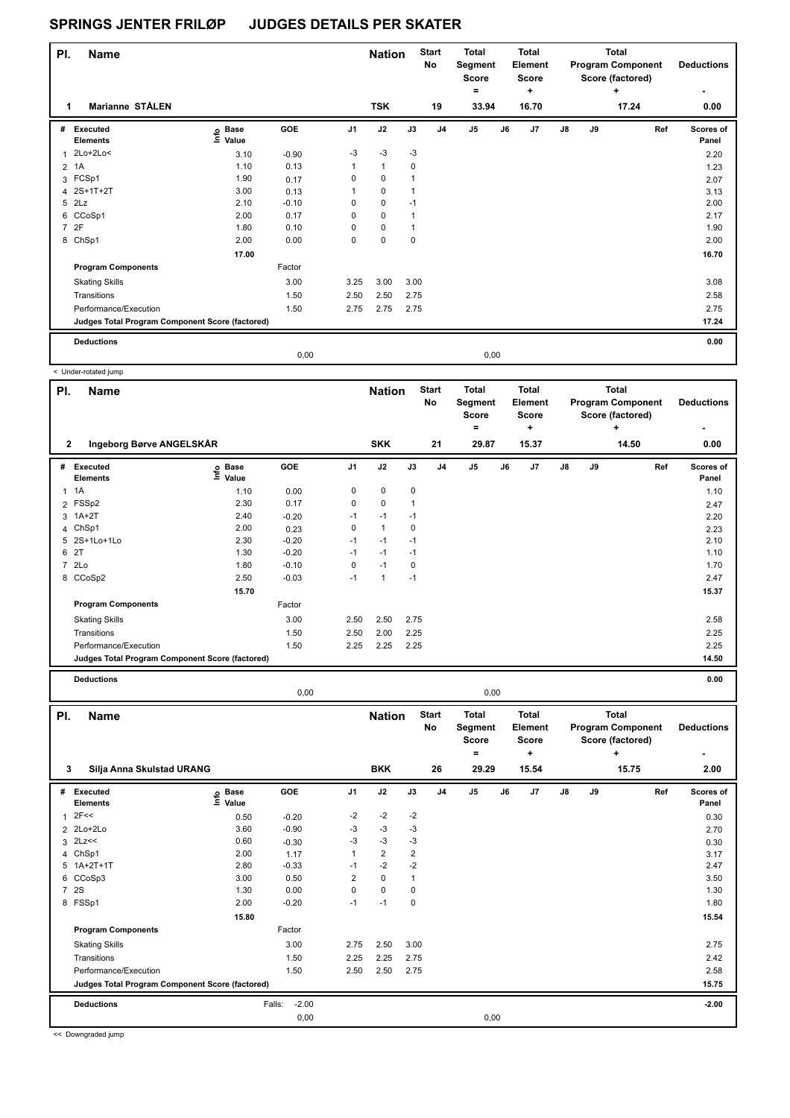| PI.            | <b>Name</b>                                     |                                  |            |                | <b>Nation</b> |             | <b>Start</b><br>No | <b>Total</b><br>Segment<br><b>Score</b><br>$\equiv$ |      | <b>Total</b><br>Element<br>Score<br>٠ |               |    | Total<br><b>Program Component</b><br>Score (factored)<br>٠ | <b>Deductions</b>  |
|----------------|-------------------------------------------------|----------------------------------|------------|----------------|---------------|-------------|--------------------|-----------------------------------------------------|------|---------------------------------------|---------------|----|------------------------------------------------------------|--------------------|
| 1              | <b>Marianne STÅLEN</b>                          |                                  |            |                | <b>TSK</b>    |             | 19                 | 33.94                                               |      | 16.70                                 |               |    | 17.24                                                      | 0.00               |
|                | # Executed<br><b>Elements</b>                   | <b>Base</b><br>e Base<br>E Value | <b>GOE</b> | J <sub>1</sub> | J2            | J3          | J <sub>4</sub>     | J <sub>5</sub>                                      | J6   | J <sub>7</sub>                        | $\mathsf{J}8$ | J9 | Ref                                                        | Scores of<br>Panel |
|                | $2Lo+2Lo<$                                      | 3.10                             | $-0.90$    | $-3$           | $-3$          | $-3$        |                    |                                                     |      |                                       |               |    |                                                            | 2.20               |
| 2              | 1A                                              | 1.10                             | 0.13       | $\mathbf{1}$   | $\mathbf{1}$  | 0           |                    |                                                     |      |                                       |               |    |                                                            | 1.23               |
|                | 3 FCSp1                                         | 1.90                             | 0.17       | 0              | 0             | $\mathbf 1$ |                    |                                                     |      |                                       |               |    |                                                            | 2.07               |
|                | 4 2S+1T+2T                                      | 3.00                             | 0.13       | 1              | $\mathbf 0$   | 1           |                    |                                                     |      |                                       |               |    |                                                            | 3.13               |
|                | $5$ $2Lz$                                       | 2.10                             | $-0.10$    | 0              | $\mathbf 0$   | $-1$        |                    |                                                     |      |                                       |               |    |                                                            | 2.00               |
|                | 6 CCoSp1                                        | 2.00                             | 0.17       | 0              | $\mathbf 0$   | 1           |                    |                                                     |      |                                       |               |    |                                                            | 2.17               |
| $\overline{7}$ | 2F                                              | 1.80                             | 0.10       | 0              | $\mathbf 0$   | $\mathbf 1$ |                    |                                                     |      |                                       |               |    |                                                            | 1.90               |
|                | 8 ChSp1                                         | 2.00                             | 0.00       | $\mathbf 0$    | $\mathbf 0$   | $\mathbf 0$ |                    |                                                     |      |                                       |               |    |                                                            | 2.00               |
|                |                                                 | 17.00                            |            |                |               |             |                    |                                                     |      |                                       |               |    |                                                            | 16.70              |
|                | <b>Program Components</b>                       |                                  | Factor     |                |               |             |                    |                                                     |      |                                       |               |    |                                                            |                    |
|                | <b>Skating Skills</b>                           |                                  | 3.00       | 3.25           | 3.00          | 3.00        |                    |                                                     |      |                                       |               |    |                                                            | 3.08               |
|                | Transitions                                     |                                  | 1.50       | 2.50           | 2.50          | 2.75        |                    |                                                     |      |                                       |               |    |                                                            | 2.58               |
|                | Performance/Execution                           |                                  | 1.50       | 2.75           | 2.75          | 2.75        |                    |                                                     |      |                                       |               |    |                                                            | 2.75               |
|                | Judges Total Program Component Score (factored) |                                  |            |                |               |             |                    |                                                     |      |                                       |               |    |                                                            | 17.24              |
|                | <b>Deductions</b>                               |                                  |            |                |               |             |                    |                                                     |      |                                       |               |    |                                                            | 0.00               |
|                |                                                 |                                  | 0,00       |                |               |             |                    |                                                     | 0,00 |                                       |               |    |                                                            |                    |

|                | < Under-rotated jump                            |                              |            |                |               |              |                           |                                              |    |                                              |    |    |                                                            |                                               |
|----------------|-------------------------------------------------|------------------------------|------------|----------------|---------------|--------------|---------------------------|----------------------------------------------|----|----------------------------------------------|----|----|------------------------------------------------------------|-----------------------------------------------|
| PI.            | <b>Name</b>                                     |                              |            |                | <b>Nation</b> |              | <b>Start</b><br><b>No</b> | <b>Total</b><br>Segment<br><b>Score</b><br>۰ |    | Total<br><b>Element</b><br><b>Score</b><br>٠ |    |    | Total<br><b>Program Component</b><br>Score (factored)<br>÷ | <b>Deductions</b><br>$\overline{\phantom{0}}$ |
| $\mathbf{2}$   | Ingeborg Børve ANGELSKÅR                        |                              |            |                | <b>SKK</b>    |              | 21                        | 29.87                                        |    | 15.37                                        |    |    | 14.50                                                      | 0.00                                          |
| #              | <b>Executed</b><br><b>Elements</b>              | <b>Base</b><br>lnfo<br>Value | <b>GOE</b> | J <sub>1</sub> | J2            | J3           | J <sub>4</sub>            | J <sub>5</sub>                               | J6 | J7                                           | J8 | J9 | Ref                                                        | <b>Scores of</b><br>Panel                     |
| $\mathbf{1}$   | 1A                                              | 1.10                         | 0.00       | 0              | $\mathbf 0$   | 0            |                           |                                              |    |                                              |    |    |                                                            | 1.10                                          |
|                | 2 FSSp2                                         | 2.30                         | 0.17       | 0              | $\mathbf 0$   | $\mathbf{1}$ |                           |                                              |    |                                              |    |    |                                                            | 2.47                                          |
| 3              | $1A+2T$                                         | 2.40                         | $-0.20$    | $-1$           | $-1$          | $-1$         |                           |                                              |    |                                              |    |    |                                                            | 2.20                                          |
|                | 4 ChSp1                                         | 2.00                         | 0.23       | 0              | $\mathbf{1}$  | $\mathbf 0$  |                           |                                              |    |                                              |    |    |                                                            | 2.23                                          |
|                | 5 2S+1Lo+1Lo                                    | 2.30                         | $-0.20$    | $-1$           | $-1$          | $-1$         |                           |                                              |    |                                              |    |    |                                                            | 2.10                                          |
| 6              | 2T                                              | 1.30                         | $-0.20$    | $-1$           | $-1$          | $-1$         |                           |                                              |    |                                              |    |    |                                                            | 1.10                                          |
| $\overline{7}$ | 2Lo                                             | 1.80                         | $-0.10$    | 0              | $-1$          | $\mathbf 0$  |                           |                                              |    |                                              |    |    |                                                            | 1.70                                          |
|                | 8 CCoSp2                                        | 2.50                         | $-0.03$    | $-1$           | $\mathbf{1}$  | $-1$         |                           |                                              |    |                                              |    |    |                                                            | 2.47                                          |
|                |                                                 | 15.70                        |            |                |               |              |                           |                                              |    |                                              |    |    |                                                            | 15.37                                         |
|                | <b>Program Components</b>                       |                              | Factor     |                |               |              |                           |                                              |    |                                              |    |    |                                                            |                                               |
|                | <b>Skating Skills</b>                           |                              | 3.00       | 2.50           | 2.50          | 2.75         |                           |                                              |    |                                              |    |    |                                                            | 2.58                                          |
|                | Transitions                                     |                              | 1.50       | 2.50           | 2.00          | 2.25         |                           |                                              |    |                                              |    |    |                                                            | 2.25                                          |
|                | Performance/Execution                           |                              | 1.50       | 2.25           | 2.25          | 2.25         |                           |                                              |    |                                              |    |    |                                                            | 2.25                                          |
|                | Judges Total Program Component Score (factored) |                              |            |                |               |              |                           |                                              |    |                                              |    |    |                                                            | 14.50                                         |
|                | <b>Deductions</b>                               |                              |            |                |               |              |                           |                                              |    |                                              |    |    |                                                            | 0.00                                          |

| PI. | <b>Name</b>                                     |                   |                   |                         | <b>Nation</b>  |                | <b>Start</b><br>No | <b>Total</b><br>Segment<br><b>Score</b> |    | Total<br>Element<br><b>Score</b> |               |    | Total<br><b>Program Component</b><br>Score (factored) | <b>Deductions</b>  |
|-----|-------------------------------------------------|-------------------|-------------------|-------------------------|----------------|----------------|--------------------|-----------------------------------------|----|----------------------------------|---------------|----|-------------------------------------------------------|--------------------|
|     |                                                 |                   |                   |                         |                |                |                    | =                                       |    | ٠                                |               |    | ÷                                                     |                    |
| 3   | Silja Anna Skulstad URANG                       |                   |                   |                         | <b>BKK</b>     |                | 26                 | 29.29                                   |    | 15.54                            |               |    | 15.75                                                 | 2.00               |
| #   | <b>Executed</b><br><b>Elements</b>              | e Base<br>⊆ Value | GOE               | J <sub>1</sub>          | J2             | J3             | J <sub>4</sub>     | J5                                      | J6 | J7                               | $\mathsf{J}8$ | J9 | Ref                                                   | Scores of<br>Panel |
| 1   | 2F<<                                            | 0.50              | $-0.20$           | $-2$                    | $-2$           | $-2$           |                    |                                         |    |                                  |               |    |                                                       | 0.30               |
|     | 2 2Lo+2Lo                                       | 3.60              | $-0.90$           | -3                      | $-3$           | -3             |                    |                                         |    |                                  |               |    |                                                       | 2.70               |
|     | $3$ 2Lz <<                                      | 0.60              | $-0.30$           | $-3$                    | $-3$           | $-3$           |                    |                                         |    |                                  |               |    |                                                       | 0.30               |
|     | 4 ChSp1                                         | 2.00              | 1.17              |                         | $\overline{2}$ | $\overline{2}$ |                    |                                         |    |                                  |               |    |                                                       | 3.17               |
|     | 5 1A+2T+1T                                      | 2.80              | $-0.33$           | $-1$                    | $-2$           | $-2$           |                    |                                         |    |                                  |               |    |                                                       | 2.47               |
| 6   | CCoSp3                                          | 3.00              | 0.50              | $\overline{\mathbf{c}}$ | $\mathbf 0$    | $\mathbf{1}$   |                    |                                         |    |                                  |               |    |                                                       | 3.50               |
|     | 7 2S                                            | 1.30              | 0.00              | 0                       | $\mathbf 0$    | 0              |                    |                                         |    |                                  |               |    |                                                       | 1.30               |
|     | 8 FSSp1                                         | 2.00              | $-0.20$           | $-1$                    | $-1$           | 0              |                    |                                         |    |                                  |               |    |                                                       | 1.80               |
|     |                                                 | 15.80             |                   |                         |                |                |                    |                                         |    |                                  |               |    |                                                       | 15.54              |
|     | <b>Program Components</b>                       |                   | Factor            |                         |                |                |                    |                                         |    |                                  |               |    |                                                       |                    |
|     | <b>Skating Skills</b>                           |                   | 3.00              | 2.75                    | 2.50           | 3.00           |                    |                                         |    |                                  |               |    |                                                       | 2.75               |
|     | Transitions                                     |                   | 1.50              | 2.25                    | 2.25           | 2.75           |                    |                                         |    |                                  |               |    |                                                       | 2.42               |
|     | Performance/Execution                           |                   | 1.50              | 2.50                    | 2.50           | 2.75           |                    |                                         |    |                                  |               |    |                                                       | 2.58               |
|     | Judges Total Program Component Score (factored) |                   |                   |                         |                |                |                    |                                         |    |                                  |               |    |                                                       | 15.75              |
|     | <b>Deductions</b>                               |                   | $-2.00$<br>Falls: |                         |                |                |                    |                                         |    |                                  |               |    |                                                       | $-2.00$            |
|     |                                                 |                   | 0,00              |                         |                |                |                    | 0,00                                    |    |                                  |               |    |                                                       |                    |

0,00 0,00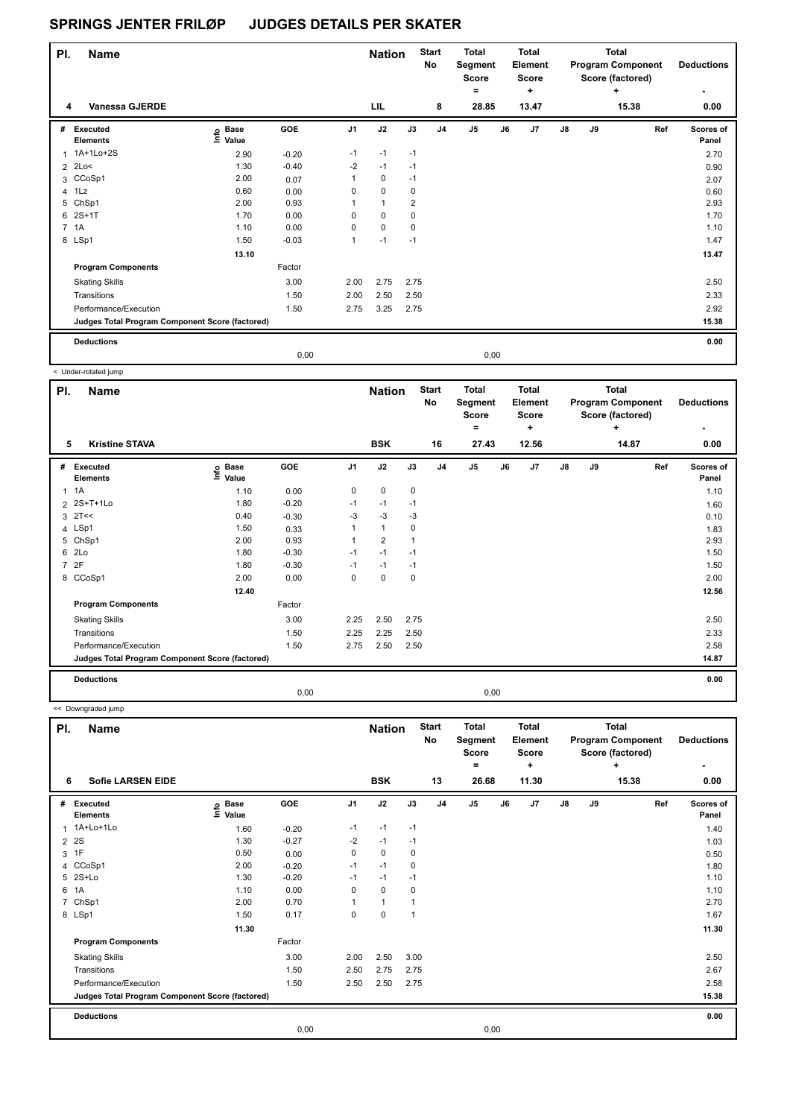| PI.            | <b>Name</b>                                     |                            |         |                | <b>Nation</b>  |                | <b>Start</b><br>No | <b>Total</b><br>Segment<br><b>Score</b><br>۰ |    | <b>Total</b><br>Element<br><b>Score</b><br>٠ |               |    | <b>Total</b><br><b>Program Component</b><br>Score (factored)<br>٠ | <b>Deductions</b>  |
|----------------|-------------------------------------------------|----------------------------|---------|----------------|----------------|----------------|--------------------|----------------------------------------------|----|----------------------------------------------|---------------|----|-------------------------------------------------------------------|--------------------|
| 4              | <b>Vanessa GJERDE</b>                           |                            |         |                | LIL            |                | 8                  | 28.85                                        |    | 13.47                                        |               |    | 15.38                                                             | 0.00               |
|                | # Executed<br><b>Elements</b>                   | e Base<br>E Value<br>Value | GOE     | J <sub>1</sub> | J2             | J3             | J <sub>4</sub>     | J <sub>5</sub>                               | J6 | J <sub>7</sub>                               | $\mathsf{J}8$ | J9 | Ref                                                               | Scores of<br>Panel |
| 1              | 1A+1Lo+2S                                       | 2.90                       | $-0.20$ | $-1$           | $-1$           | $-1$           |                    |                                              |    |                                              |               |    |                                                                   | 2.70               |
| $\overline{2}$ | 2Lo<                                            | 1.30                       | $-0.40$ | $-2$           | $-1$           | $-1$           |                    |                                              |    |                                              |               |    |                                                                   | 0.90               |
|                | 3 CCoSp1                                        | 2.00                       | 0.07    | $\mathbf{1}$   | 0              | $-1$           |                    |                                              |    |                                              |               |    |                                                                   | 2.07               |
|                | 4 1Lz                                           | 0.60                       | 0.00    | 0              | $\mathbf 0$    | 0              |                    |                                              |    |                                              |               |    |                                                                   | 0.60               |
|                | 5 ChSp1                                         | 2.00                       | 0.93    |                | $\overline{1}$ | $\overline{2}$ |                    |                                              |    |                                              |               |    |                                                                   | 2.93               |
|                | $62S+1T$                                        | 1.70                       | 0.00    | $\Omega$       | $\mathbf 0$    | 0              |                    |                                              |    |                                              |               |    |                                                                   | 1.70               |
|                | 7 1A                                            | 1.10                       | 0.00    | $\Omega$       | $\mathbf 0$    | 0              |                    |                                              |    |                                              |               |    |                                                                   | 1.10               |
|                | 8 LSp1                                          | 1.50                       | $-0.03$ | $\mathbf{1}$   | $-1$           | $-1$           |                    |                                              |    |                                              |               |    |                                                                   | 1.47               |
|                |                                                 | 13.10                      |         |                |                |                |                    |                                              |    |                                              |               |    |                                                                   | 13.47              |
|                | <b>Program Components</b>                       |                            | Factor  |                |                |                |                    |                                              |    |                                              |               |    |                                                                   |                    |
|                | <b>Skating Skills</b>                           |                            | 3.00    | 2.00           | 2.75           | 2.75           |                    |                                              |    |                                              |               |    |                                                                   | 2.50               |
|                | Transitions                                     |                            | 1.50    | 2.00           | 2.50           | 2.50           |                    |                                              |    |                                              |               |    |                                                                   | 2.33               |
|                | Performance/Execution                           |                            | 1.50    | 2.75           | 3.25           | 2.75           |                    |                                              |    |                                              |               |    |                                                                   | 2.92               |
|                | Judges Total Program Component Score (factored) |                            |         |                |                |                |                    |                                              |    |                                              |               |    |                                                                   | 15.38              |
|                | <b>Deductions</b>                               |                            |         |                |                |                |                    |                                              |    |                                              |               |    |                                                                   | 0.00               |
|                |                                                 |                            | 0,00    |                |                |                |                    | 0,00                                         |    |                                              |               |    |                                                                   |                    |

< Under-rotated jump

| PI.            | <b>Name</b>                                     |                                  |            |                | <b>Nation</b>  |      | <b>Start</b><br>No | <b>Total</b><br>Segment<br><b>Score</b><br>$=$ |      | <b>Total</b><br>Element<br><b>Score</b><br>٠ |               |    | <b>Total</b><br><b>Program Component</b><br>Score (factored)<br>$\ddot{}$ | <b>Deductions</b>  |
|----------------|-------------------------------------------------|----------------------------------|------------|----------------|----------------|------|--------------------|------------------------------------------------|------|----------------------------------------------|---------------|----|---------------------------------------------------------------------------|--------------------|
| 5              | <b>Kristine STAVA</b>                           |                                  |            |                | <b>BSK</b>     |      | 16                 | 27.43                                          |      | 12.56                                        |               |    | 14.87                                                                     | 0.00               |
| #              | Executed<br><b>Elements</b>                     | <b>Base</b><br>e Base<br>E Value | <b>GOE</b> | J <sub>1</sub> | J2             | J3   | J <sub>4</sub>     | J <sub>5</sub>                                 | J6   | J7                                           | $\mathsf{J}8$ | J9 | Ref                                                                       | Scores of<br>Panel |
| $\mathbf{1}$   | 1A                                              | 1.10                             | 0.00       | 0              | 0              | 0    |                    |                                                |      |                                              |               |    |                                                                           | 1.10               |
|                | 2 2S+T+1Lo                                      | 1.80                             | $-0.20$    | $-1$           | $-1$           | $-1$ |                    |                                                |      |                                              |               |    |                                                                           | 1.60               |
| 3              | 2T<<                                            | 0.40                             | $-0.30$    | $-3$           | $-3$           | $-3$ |                    |                                                |      |                                              |               |    |                                                                           | 0.10               |
|                | 4 LSp1                                          | 1.50                             | 0.33       | 1              | $\overline{1}$ | 0    |                    |                                                |      |                                              |               |    |                                                                           | 1.83               |
| 5              | ChSp1                                           | 2.00                             | 0.93       | 1              | $\overline{2}$ | 1    |                    |                                                |      |                                              |               |    |                                                                           | 2.93               |
| 6              | 2Lo                                             | 1.80                             | $-0.30$    | $-1$           | $-1$           | $-1$ |                    |                                                |      |                                              |               |    |                                                                           | 1.50               |
| $\overline{7}$ | 2F                                              | 1.80                             | $-0.30$    | $-1$           | $-1$           | $-1$ |                    |                                                |      |                                              |               |    |                                                                           | 1.50               |
|                | 8 CCoSp1                                        | 2.00                             | 0.00       | $\Omega$       | $\mathbf 0$    | 0    |                    |                                                |      |                                              |               |    |                                                                           | 2.00               |
|                |                                                 | 12.40                            |            |                |                |      |                    |                                                |      |                                              |               |    |                                                                           | 12.56              |
|                | <b>Program Components</b>                       |                                  | Factor     |                |                |      |                    |                                                |      |                                              |               |    |                                                                           |                    |
|                | <b>Skating Skills</b>                           |                                  | 3.00       | 2.25           | 2.50           | 2.75 |                    |                                                |      |                                              |               |    |                                                                           | 2.50               |
|                | Transitions                                     |                                  | 1.50       | 2.25           | 2.25           | 2.50 |                    |                                                |      |                                              |               |    |                                                                           | 2.33               |
|                | Performance/Execution                           |                                  | 1.50       | 2.75           | 2.50           | 2.50 |                    |                                                |      |                                              |               |    |                                                                           | 2.58               |
|                | Judges Total Program Component Score (factored) |                                  |            |                |                |      |                    |                                                |      |                                              |               |    |                                                                           | 14.87              |
|                | <b>Deductions</b>                               |                                  |            |                |                |      |                    |                                                |      |                                              |               |    |                                                                           | 0.00               |
|                |                                                 |                                  | 0,00       |                |                |      |                    |                                                | 0,00 |                                              |               |    |                                                                           |                    |

| PI.            | <b>Name</b>                                     |                                  |         |                | <b>Nation</b> |                | <b>Start</b><br>No | <b>Total</b><br>Segment<br><b>Score</b><br>$=$ |    | <b>Total</b><br><b>Element</b><br><b>Score</b><br>٠ |    |    | <b>Total</b><br><b>Program Component</b><br>Score (factored)<br>٠ | <b>Deductions</b>  |
|----------------|-------------------------------------------------|----------------------------------|---------|----------------|---------------|----------------|--------------------|------------------------------------------------|----|-----------------------------------------------------|----|----|-------------------------------------------------------------------|--------------------|
| 6              | <b>Sofie LARSEN EIDE</b>                        |                                  |         |                | <b>BSK</b>    |                | 13                 | 26.68                                          |    | 11.30                                               |    |    | 15.38                                                             | 0.00               |
| #              | Executed<br><b>Elements</b>                     | <b>Base</b><br>e Base<br>⊑ Value | GOE     | J <sub>1</sub> | J2            | J3             | J <sub>4</sub>     | J <sub>5</sub>                                 | J6 | J7                                                  | J8 | J9 | Ref                                                               | Scores of<br>Panel |
| 1              | 1A+Lo+1Lo                                       | 1.60                             | $-0.20$ | $-1$           | $-1$          | $-1$           |                    |                                                |    |                                                     |    |    |                                                                   | 1.40               |
| $\overline{2}$ | 2S                                              | 1.30                             | $-0.27$ | $-2$           | $-1$          | $-1$           |                    |                                                |    |                                                     |    |    |                                                                   | 1.03               |
| 3              | 1F                                              | 0.50                             | 0.00    | 0              | $\mathbf 0$   | 0              |                    |                                                |    |                                                     |    |    |                                                                   | 0.50               |
|                | 4 CCoSp1                                        | 2.00                             | $-0.20$ | $-1$           | $-1$          | 0              |                    |                                                |    |                                                     |    |    |                                                                   | 1.80               |
| 5              | 2S+Lo                                           | 1.30                             | $-0.20$ | $-1$           | $-1$          | $-1$           |                    |                                                |    |                                                     |    |    |                                                                   | 1.10               |
| 6              | 1A                                              | 1.10                             | 0.00    | 0              | $\mathbf 0$   | 0              |                    |                                                |    |                                                     |    |    |                                                                   | 1.10               |
| $\overline{7}$ | ChSp1                                           | 2.00                             | 0.70    | 1              | $\mathbf{1}$  |                |                    |                                                |    |                                                     |    |    |                                                                   | 2.70               |
|                | 8 LSp1                                          | 1.50                             | 0.17    | 0              | $\mathbf 0$   | $\overline{1}$ |                    |                                                |    |                                                     |    |    |                                                                   | 1.67               |
|                |                                                 | 11.30                            |         |                |               |                |                    |                                                |    |                                                     |    |    |                                                                   | 11.30              |
|                | <b>Program Components</b>                       |                                  | Factor  |                |               |                |                    |                                                |    |                                                     |    |    |                                                                   |                    |
|                | <b>Skating Skills</b>                           |                                  | 3.00    | 2.00           | 2.50          | 3.00           |                    |                                                |    |                                                     |    |    |                                                                   | 2.50               |
|                | Transitions                                     |                                  | 1.50    | 2.50           | 2.75          | 2.75           |                    |                                                |    |                                                     |    |    |                                                                   | 2.67               |
|                | Performance/Execution                           |                                  | 1.50    | 2.50           | 2.50          | 2.75           |                    |                                                |    |                                                     |    |    |                                                                   | 2.58               |
|                | Judges Total Program Component Score (factored) |                                  |         |                |               |                |                    |                                                |    |                                                     |    |    |                                                                   | 15.38              |
|                | <b>Deductions</b>                               |                                  |         |                |               |                |                    |                                                |    |                                                     |    |    |                                                                   | 0.00               |
|                |                                                 |                                  | 0,00    |                |               |                |                    | 0,00                                           |    |                                                     |    |    |                                                                   |                    |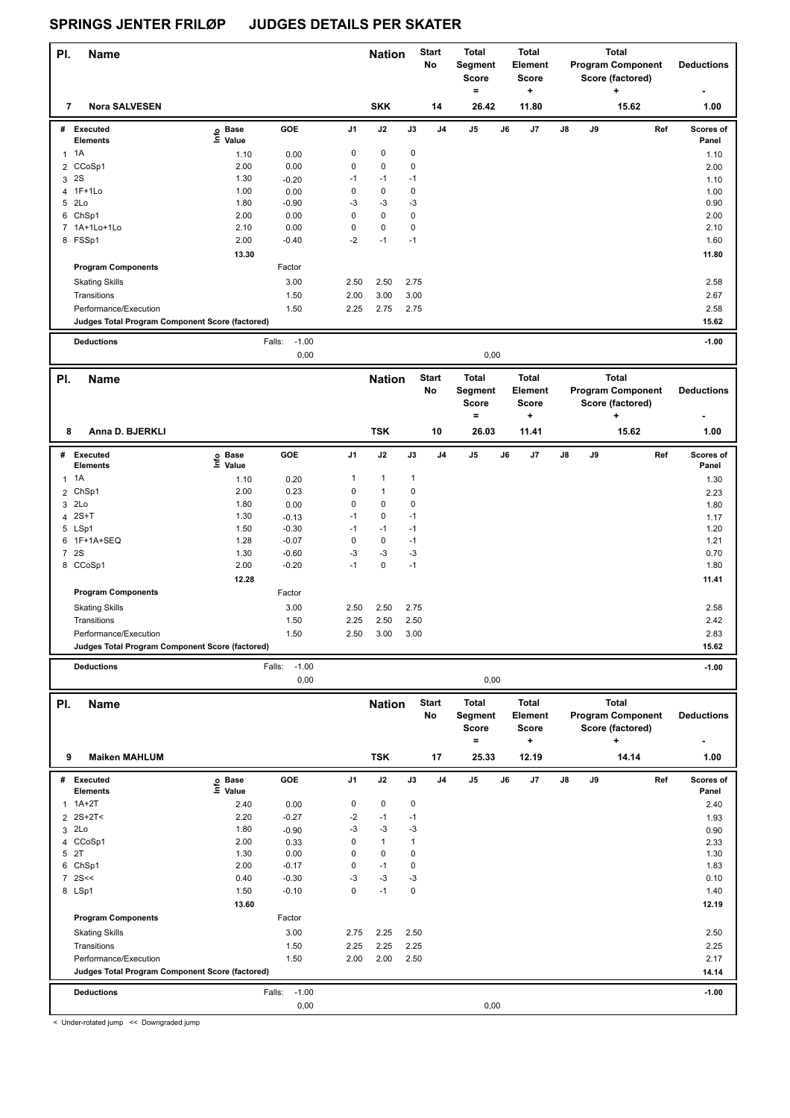| PI.            | <b>Name</b>                                     |                   |                           |              | <b>Nation</b> |                | <b>Start</b>   | <b>Total</b>                        |    | <b>Total</b>                         |    |    | <b>Total</b>                                 |                    |
|----------------|-------------------------------------------------|-------------------|---------------------------|--------------|---------------|----------------|----------------|-------------------------------------|----|--------------------------------------|----|----|----------------------------------------------|--------------------|
|                |                                                 |                   |                           |              |               |                | No             | Segment<br><b>Score</b><br>$\equiv$ |    | <b>Element</b><br><b>Score</b><br>۰. |    |    | <b>Program Component</b><br>Score (factored) | <b>Deductions</b>  |
| 7              | <b>Nora SALVESEN</b>                            |                   |                           |              | <b>SKK</b>    |                | 14             | 26.42                               |    | 11.80                                |    |    | 15.62                                        | 1.00               |
|                | # Executed<br><b>Elements</b>                   | e Base<br>E Value | GOE                       | J1           | J2            | J3             | J <sub>4</sub> | J5                                  | J6 | J7                                   | J8 | J9 | Ref                                          | Scores of<br>Panel |
|                | $1 \t1A$                                        | 1.10              | 0.00                      | $\pmb{0}$    | $\mathbf 0$   | $\pmb{0}$      |                |                                     |    |                                      |    |    |                                              | 1.10               |
| $\overline{2}$ | CCoSp1                                          | 2.00              | 0.00                      | $\mathbf 0$  | $\pmb{0}$     | $\pmb{0}$      |                |                                     |    |                                      |    |    |                                              | 2.00               |
|                | 3 2S                                            | 1.30              | $-0.20$                   | $-1$         | $-1$          | $-1$           |                |                                     |    |                                      |    |    |                                              | 1.10               |
| 4              | $1F+1Lo$                                        | 1.00              | 0.00                      | $\pmb{0}$    | $\mathbf 0$   | $\pmb{0}$      |                |                                     |    |                                      |    |    |                                              | 1.00               |
|                | 5 2Lo                                           | 1.80              | $-0.90$                   | -3           | $-3$          | $-3$           |                |                                     |    |                                      |    |    |                                              | 0.90               |
|                | 6 ChSp1                                         | 2.00              | 0.00                      | $\mathbf 0$  | $\mathbf 0$   | $\pmb{0}$      |                |                                     |    |                                      |    |    |                                              | 2.00               |
|                | 7 1A+1Lo+1Lo                                    | 2.10              | 0.00                      | $\pmb{0}$    | $\mathbf 0$   | $\pmb{0}$      |                |                                     |    |                                      |    |    |                                              | 2.10               |
|                | 8 FSSp1                                         | 2.00              | $-0.40$                   | $-2$         | $-1$          | $-1$           |                |                                     |    |                                      |    |    |                                              | 1.60               |
|                | <b>Program Components</b>                       | 13.30             | Factor                    |              |               |                |                |                                     |    |                                      |    |    |                                              | 11.80              |
|                |                                                 |                   |                           |              |               |                |                |                                     |    |                                      |    |    |                                              |                    |
|                | <b>Skating Skills</b>                           |                   | 3.00                      | 2.50         | 2.50          | 2.75           |                |                                     |    |                                      |    |    |                                              | 2.58               |
|                | Transitions<br>Performance/Execution            |                   | 1.50<br>1.50              | 2.00<br>2.25 | 3.00<br>2.75  | 3.00<br>2.75   |                |                                     |    |                                      |    |    |                                              | 2.67<br>2.58       |
|                | Judges Total Program Component Score (factored) |                   |                           |              |               |                |                |                                     |    |                                      |    |    |                                              | 15.62              |
|                |                                                 |                   |                           |              |               |                |                |                                     |    |                                      |    |    |                                              |                    |
|                | <b>Deductions</b>                               |                   | $-1.00$<br>Falls:<br>0,00 |              |               |                |                | 0,00                                |    |                                      |    |    |                                              | $-1.00$            |
|                |                                                 |                   |                           |              |               |                |                |                                     |    |                                      |    |    |                                              |                    |
| PI.            | <b>Name</b>                                     |                   |                           |              | <b>Nation</b> |                | <b>Start</b>   | <b>Total</b>                        |    | <b>Total</b>                         |    |    | <b>Total</b>                                 |                    |
|                |                                                 |                   |                           |              |               |                | No             | Segment<br><b>Score</b>             |    | <b>Element</b><br>Score              |    |    | <b>Program Component</b>                     | <b>Deductions</b>  |
|                |                                                 |                   |                           |              |               |                |                | $\qquad \qquad =$                   |    | +                                    |    |    | Score (factored)<br>٠                        |                    |
| 8              | Anna D. BJERKLI                                 |                   |                           |              | <b>TSK</b>    |                | 10             | 26.03                               |    | 11.41                                |    |    | 15.62                                        | 1.00               |
|                |                                                 |                   |                           |              |               |                |                |                                     |    |                                      |    |    |                                              |                    |
|                | # Executed                                      | e Base<br>⊑ Value | GOE                       | J1           | J2            | J3             | J <sub>4</sub> | J5                                  | J6 | J7                                   | J8 | J9 | Ref                                          | Scores of          |
|                | <b>Elements</b>                                 |                   |                           | $\mathbf{1}$ | $\mathbf{1}$  | $\overline{1}$ |                |                                     |    |                                      |    |    |                                              | Panel              |
| $\mathbf{1}$   | 1A<br>2 ChSp1                                   | 1.10<br>2.00      | 0.20<br>0.23              | $\pmb{0}$    | $\mathbf{1}$  | $\pmb{0}$      |                |                                     |    |                                      |    |    |                                              | 1.30               |
|                | 3 2Lo                                           | 1.80              | 0.00                      | $\pmb{0}$    | 0             | $\pmb{0}$      |                |                                     |    |                                      |    |    |                                              | 2.23<br>1.80       |
|                | $4$ 2S+T                                        | 1.30              | $-0.13$                   | $-1$         | $\mathbf 0$   | $-1$           |                |                                     |    |                                      |    |    |                                              | 1.17               |
|                | 5 LSp1                                          | 1.50              | $-0.30$                   | $-1$         | $-1$          | $-1$           |                |                                     |    |                                      |    |    |                                              | 1.20               |
| 6              | 1F+1A+SEQ                                       | 1.28              | $-0.07$                   | $\pmb{0}$    | 0             | $-1$           |                |                                     |    |                                      |    |    |                                              | 1.21               |
|                | 7 2S                                            | 1.30              | $-0.60$                   | -3           | $-3$          | $-3$           |                |                                     |    |                                      |    |    |                                              | 0.70               |
|                | 8 CCoSp1                                        | 2.00              | $-0.20$                   | $-1$         | $\pmb{0}$     | $-1$           |                |                                     |    |                                      |    |    |                                              | 1.80               |
|                |                                                 | 12.28             |                           |              |               |                |                |                                     |    |                                      |    |    |                                              | 11.41              |
|                | <b>Program Components</b>                       |                   | Factor                    |              |               |                |                |                                     |    |                                      |    |    |                                              |                    |
|                | <b>Skating Skills</b>                           |                   | 3.00                      | 2.50         | 2.50          | 2.75           |                |                                     |    |                                      |    |    |                                              | 2.58               |
|                | Transitions                                     |                   | 1.50                      | 2.25         | 2.50          | 2.50           |                |                                     |    |                                      |    |    |                                              | 2.42               |
|                | Performance/Execution                           |                   | 1.50                      | 2.50         | 3.00          | 3.00           |                |                                     |    |                                      |    |    |                                              | 2.83               |
|                | Judges Total Program Component Score (factored) |                   |                           |              |               |                |                |                                     |    |                                      |    |    |                                              | 15.62              |
|                | <b>Deductions</b>                               |                   | $-1.00$<br>Falls:         |              |               |                |                |                                     |    |                                      |    |    |                                              | $-1.00$            |
|                |                                                 |                   | 0,00                      |              |               |                |                | 0,00                                |    |                                      |    |    |                                              |                    |
| PI.            | <b>Name</b>                                     |                   |                           |              | <b>Nation</b> |                | <b>Start</b>   | <b>Total</b>                        |    | <b>Total</b>                         |    |    | <b>Total</b>                                 |                    |
|                |                                                 |                   |                           |              |               |                | No             | Segment                             |    | Element                              |    |    | <b>Program Component</b>                     | <b>Deductions</b>  |
|                |                                                 |                   |                           |              |               |                |                | <b>Score</b>                        |    | Score                                |    |    | Score (factored)                             |                    |
|                |                                                 |                   |                           |              |               |                |                | $\equiv$                            |    | ÷                                    |    |    | +                                            |                    |
| 9              | <b>Maiken MAHLUM</b>                            |                   |                           |              | <b>TSK</b>    |                | 17             | 25.33                               |    | 12.19                                |    |    | 14.14                                        | 1.00               |
|                | # Executed                                      | e Base<br>E Value | GOE                       | J1           | J2            | $\mathsf{J3}$  | J4             | $\mathsf{J}5$                       | J6 | J7                                   | J8 | J9 | Ref                                          | Scores of          |
|                | <b>Elements</b>                                 |                   |                           |              |               |                |                |                                     |    |                                      |    |    |                                              | Panel              |
|                | $1.1A+2T$                                       | 2.40              | 0.00                      | $\pmb{0}$    | 0             | $\pmb{0}$      |                |                                     |    |                                      |    |    |                                              | 2.40               |
|                | 2 2S+2T<<br>3 2Lo                               | 2.20<br>1.80      | $-0.27$                   | -2<br>-3     | $-1$<br>$-3$  | $-1$<br>$-3$   |                |                                     |    |                                      |    |    |                                              | 1.93               |
|                | 4 CCoSp1                                        | 2.00              | $-0.90$<br>0.33           | 0            | $\mathbf{1}$  | $\mathbf{1}$   |                |                                     |    |                                      |    |    |                                              | 0.90<br>2.33       |
|                | 5 2T                                            | 1.30              | 0.00                      | $\pmb{0}$    | 0             | $\pmb{0}$      |                |                                     |    |                                      |    |    |                                              | 1.30               |
|                | 6 ChSp1                                         | 2.00              | $-0.17$                   | $\pmb{0}$    | $-1$          | $\pmb{0}$      |                |                                     |    |                                      |    |    |                                              | 1.83               |
|                | $7$ 2S <<                                       | 0.40              | $-0.30$                   | -3           | $-3$          | $-3$           |                |                                     |    |                                      |    |    |                                              | 0.10               |
|                | 8 LSp1                                          | 1.50              | $-0.10$                   | $\mathbf 0$  | $-1$          | $\pmb{0}$      |                |                                     |    |                                      |    |    |                                              | 1.40               |
|                |                                                 | 13.60             |                           |              |               |                |                |                                     |    |                                      |    |    |                                              | 12.19              |
|                | <b>Program Components</b>                       |                   | Factor                    |              |               |                |                |                                     |    |                                      |    |    |                                              |                    |
|                | <b>Skating Skills</b>                           |                   | 3.00                      | 2.75         | 2.25          | 2.50           |                |                                     |    |                                      |    |    |                                              | 2.50               |
|                | Transitions                                     |                   | 1.50                      | 2.25         | 2.25          | 2.25           |                |                                     |    |                                      |    |    |                                              | 2.25               |
|                | Performance/Execution                           |                   | 1.50                      | 2.00         | 2.00          | 2.50           |                |                                     |    |                                      |    |    |                                              | 2.17               |
|                | Judges Total Program Component Score (factored) |                   |                           |              |               |                |                |                                     |    |                                      |    |    |                                              | 14.14              |
|                | <b>Deductions</b>                               |                   | Falls:<br>$-1.00$         |              |               |                |                |                                     |    |                                      |    |    |                                              | $-1.00$            |
|                |                                                 |                   | 0,00                      |              |               |                |                | 0,00                                |    |                                      |    |    |                                              |                    |

< Under-rotated jump << Downgraded jump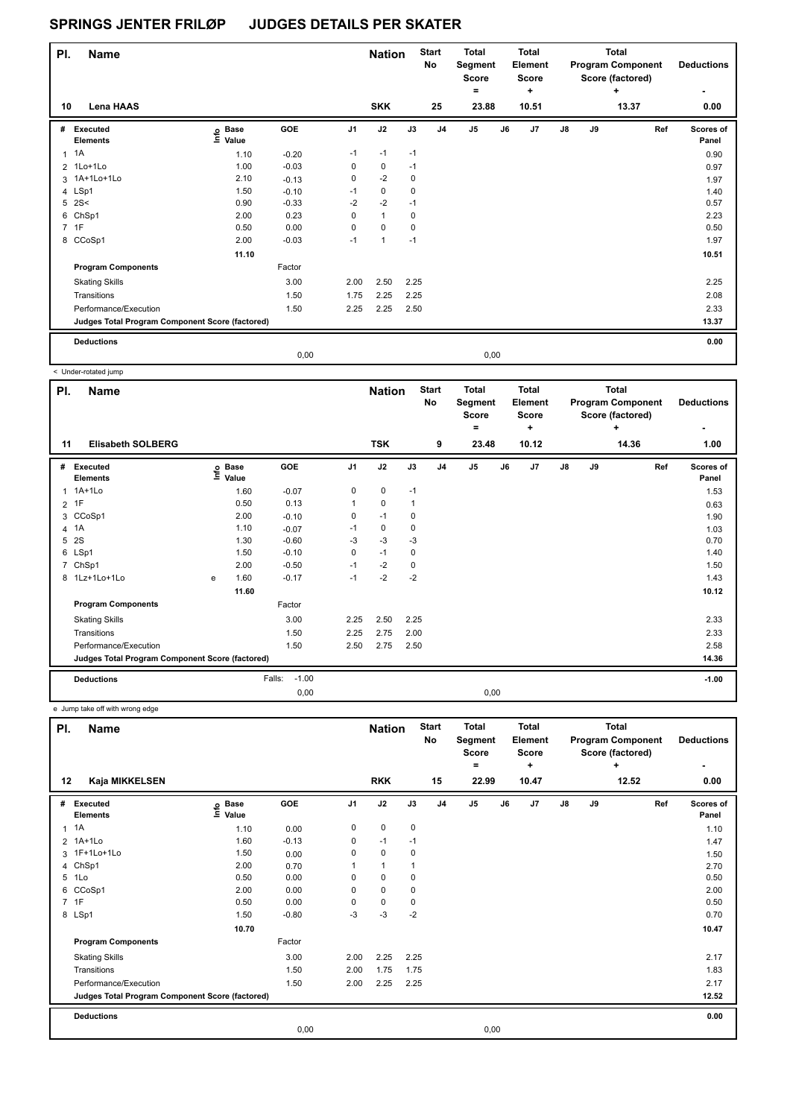| PI. | <b>Name</b>                                     |                            |         |             | <b>Nation</b>        |      | <b>Start</b><br>No | <b>Total</b><br>Segment<br><b>Score</b><br>$\equiv$ |      | <b>Total</b><br>Element<br><b>Score</b> |               |    | Total<br><b>Program Component</b><br>Score (factored) | <b>Deductions</b>  |
|-----|-------------------------------------------------|----------------------------|---------|-------------|----------------------|------|--------------------|-----------------------------------------------------|------|-----------------------------------------|---------------|----|-------------------------------------------------------|--------------------|
| 10  | Lena HAAS                                       |                            |         |             | <b>SKK</b>           |      | 25                 | 23.88                                               |      | ٠<br>10.51                              |               |    | ٠<br>13.37                                            | ٠<br>0.00          |
| #   | Executed<br><b>Elements</b>                     | e Base<br>E Value<br>Value | GOE     | J1          | J2                   | J3   | J <sub>4</sub>     | J <sub>5</sub>                                      | J6   | J <sub>7</sub>                          | $\mathsf{J}8$ | J9 | Ref                                                   | Scores of<br>Panel |
| 1   | 1A                                              | 1.10                       | $-0.20$ | $-1$        | $-1$                 | $-1$ |                    |                                                     |      |                                         |               |    |                                                       | 0.90               |
|     | 2 1Lo+1Lo                                       | 1.00                       | $-0.03$ | $\mathbf 0$ | 0                    | $-1$ |                    |                                                     |      |                                         |               |    |                                                       | 0.97               |
|     | 3 1A+1Lo+1Lo                                    | 2.10                       | $-0.13$ | 0           | $-2$                 | 0    |                    |                                                     |      |                                         |               |    |                                                       | 1.97               |
|     | 4 LSp1                                          | 1.50                       | $-0.10$ | $-1$        | $\pmb{0}$            | 0    |                    |                                                     |      |                                         |               |    |                                                       | 1.40               |
|     | $5$ 2S<                                         | 0.90                       | $-0.33$ | $-2$        | $-2$                 | $-1$ |                    |                                                     |      |                                         |               |    |                                                       | 0.57               |
|     | 6 ChSp1                                         | 2.00                       | 0.23    | 0           | $\mathbf{1}$         | 0    |                    |                                                     |      |                                         |               |    |                                                       | 2.23               |
|     | 7 1F                                            | 0.50                       | 0.00    | 0           | $\Omega$             | 0    |                    |                                                     |      |                                         |               |    |                                                       | 0.50               |
|     | 8 CCoSp1                                        | 2.00                       | $-0.03$ | $-1$        | $\blacktriangleleft$ | $-1$ |                    |                                                     |      |                                         |               |    |                                                       | 1.97               |
|     |                                                 | 11.10                      |         |             |                      |      |                    |                                                     |      |                                         |               |    |                                                       | 10.51              |
|     | <b>Program Components</b>                       |                            | Factor  |             |                      |      |                    |                                                     |      |                                         |               |    |                                                       |                    |
|     | <b>Skating Skills</b>                           |                            | 3.00    | 2.00        | 2.50                 | 2.25 |                    |                                                     |      |                                         |               |    |                                                       | 2.25               |
|     | Transitions                                     |                            | 1.50    | 1.75        | 2.25                 | 2.25 |                    |                                                     |      |                                         |               |    |                                                       | 2.08               |
|     | Performance/Execution                           |                            | 1.50    | 2.25        | 2.25                 | 2.50 |                    |                                                     |      |                                         |               |    |                                                       | 2.33               |
|     | Judges Total Program Component Score (factored) |                            |         |             |                      |      |                    |                                                     |      |                                         |               |    |                                                       | 13.37              |
|     | <b>Deductions</b>                               |                            |         |             |                      |      |                    |                                                     |      |                                         |               |    |                                                       | 0.00               |
|     |                                                 |                            | 0,00    |             |                      |      |                    |                                                     | 0,00 |                                         |               |    |                                                       |                    |

< Under-rotated jump

| PI.            | <b>Name</b>                                     |   |                                  |                   |                | <b>Nation</b> |             | <b>Start</b><br><b>No</b> | <b>Total</b><br>Segment<br><b>Score</b><br>٠ |    | Total<br>Element<br><b>Score</b><br>٠ |    |    | <b>Total</b><br><b>Program Component</b><br>Score (factored)<br>÷ | <b>Deductions</b>  |
|----------------|-------------------------------------------------|---|----------------------------------|-------------------|----------------|---------------|-------------|---------------------------|----------------------------------------------|----|---------------------------------------|----|----|-------------------------------------------------------------------|--------------------|
| 11             | <b>Elisabeth SOLBERG</b>                        |   |                                  |                   |                | <b>TSK</b>    |             | 9                         | 23.48                                        |    | 10.12                                 |    |    | 14.36                                                             | 1.00               |
| #              | <b>Executed</b><br><b>Elements</b>              |   | <b>Base</b><br>e Base<br>E Value | GOE               | J <sub>1</sub> | J2            | J3          | J <sub>4</sub>            | J <sub>5</sub>                               | J6 | J <sub>7</sub>                        | J8 | J9 | Ref                                                               | Scores of<br>Panel |
| $\mathbf{1}$   | 1A+1Lo                                          |   | 1.60                             | $-0.07$           | 0              | 0             | $-1$        |                           |                                              |    |                                       |    |    |                                                                   | 1.53               |
| $\overline{2}$ | 1F                                              |   | 0.50                             | 0.13              | 1              | 0             | $\mathbf 1$ |                           |                                              |    |                                       |    |    |                                                                   | 0.63               |
| 3              | CCoSp1                                          |   | 2.00                             | $-0.10$           | 0              | $-1$          | 0           |                           |                                              |    |                                       |    |    |                                                                   | 1.90               |
| 4              | 1A                                              |   | 1.10                             | $-0.07$           | -1             | 0             | 0           |                           |                                              |    |                                       |    |    |                                                                   | 1.03               |
| 5              | 2S                                              |   | 1.30                             | $-0.60$           | $-3$           | $-3$          | $-3$        |                           |                                              |    |                                       |    |    |                                                                   | 0.70               |
|                | 6 LSp1                                          |   | 1.50                             | $-0.10$           | 0              | $-1$          | 0           |                           |                                              |    |                                       |    |    |                                                                   | 1.40               |
| 7              | ChSp1                                           |   | 2.00                             | $-0.50$           | $-1$           | $-2$          | 0           |                           |                                              |    |                                       |    |    |                                                                   | 1.50               |
|                | 8 1Lz+1Lo+1Lo                                   | e | 1.60                             | $-0.17$           | $-1$           | $-2$          | $-2$        |                           |                                              |    |                                       |    |    |                                                                   | 1.43               |
|                |                                                 |   | 11.60                            |                   |                |               |             |                           |                                              |    |                                       |    |    |                                                                   | 10.12              |
|                | <b>Program Components</b>                       |   |                                  | Factor            |                |               |             |                           |                                              |    |                                       |    |    |                                                                   |                    |
|                | <b>Skating Skills</b>                           |   |                                  | 3.00              | 2.25           | 2.50          | 2.25        |                           |                                              |    |                                       |    |    |                                                                   | 2.33               |
|                | Transitions                                     |   |                                  | 1.50              | 2.25           | 2.75          | 2.00        |                           |                                              |    |                                       |    |    |                                                                   | 2.33               |
|                | Performance/Execution                           |   |                                  | 1.50              | 2.50           | 2.75          | 2.50        |                           |                                              |    |                                       |    |    |                                                                   | 2.58               |
|                | Judges Total Program Component Score (factored) |   |                                  |                   |                |               |             |                           |                                              |    |                                       |    |    |                                                                   | 14.36              |
|                | <b>Deductions</b>                               |   |                                  | $-1.00$<br>Falls: |                |               |             |                           |                                              |    |                                       |    |    |                                                                   | $-1.00$            |
|                |                                                 |   |                                  | 0.00              |                |               |             |                           | 0,00                                         |    |                                       |    |    |                                                                   |                    |

e Jump take off with wrong edge

| PI. | <b>Name</b>                                     |                            |         |                | <b>Nation</b> |             | <b>Start</b><br>No | Total<br>Segment<br><b>Score</b><br>$\equiv$ |    | <b>Total</b><br>Element<br><b>Score</b><br>$\ddot{}$ |               |    | <b>Total</b><br><b>Program Component</b><br>Score (factored)<br>÷ | <b>Deductions</b>  |
|-----|-------------------------------------------------|----------------------------|---------|----------------|---------------|-------------|--------------------|----------------------------------------------|----|------------------------------------------------------|---------------|----|-------------------------------------------------------------------|--------------------|
| 12  | Kaja MIKKELSEN                                  |                            |         |                | <b>RKK</b>    |             | 15                 | 22.99                                        |    | 10.47                                                |               |    | 12.52                                                             | 0.00               |
| #   | <b>Executed</b><br><b>Elements</b>              | e Base<br>E Value<br>Value | GOE     | J <sub>1</sub> | J2            | J3          | J <sub>4</sub>     | J <sub>5</sub>                               | J6 | J7                                                   | $\mathsf{J}8$ | J9 | Ref                                                               | Scores of<br>Panel |
|     | $1 \t1A$                                        | 1.10                       | 0.00    | 0              | $\pmb{0}$     | $\mathbf 0$ |                    |                                              |    |                                                      |               |    |                                                                   | 1.10               |
|     | 2 1A+1Lo                                        | 1.60                       | $-0.13$ | 0              | $-1$          | $-1$        |                    |                                              |    |                                                      |               |    |                                                                   | 1.47               |
|     | 3 1F+1Lo+1Lo                                    | 1.50                       | 0.00    | 0              | $\mathbf 0$   | 0           |                    |                                              |    |                                                      |               |    |                                                                   | 1.50               |
|     | 4 ChSp1                                         | 2.00                       | 0.70    |                | $\mathbf{1}$  |             |                    |                                              |    |                                                      |               |    |                                                                   | 2.70               |
| 5   | 1Lo                                             | 0.50                       | 0.00    | 0              | $\mathbf 0$   | 0           |                    |                                              |    |                                                      |               |    |                                                                   | 0.50               |
| 6   | CCoSp1                                          | 2.00                       | 0.00    | 0              | $\mathbf 0$   | 0           |                    |                                              |    |                                                      |               |    |                                                                   | 2.00               |
|     | 7 1F                                            | 0.50                       | 0.00    | 0              | $\pmb{0}$     | 0           |                    |                                              |    |                                                      |               |    |                                                                   | 0.50               |
|     | 8 LSp1                                          | 1.50                       | $-0.80$ | $-3$           | $-3$          | $-2$        |                    |                                              |    |                                                      |               |    |                                                                   | 0.70               |
|     |                                                 | 10.70                      |         |                |               |             |                    |                                              |    |                                                      |               |    |                                                                   | 10.47              |
|     | <b>Program Components</b>                       |                            | Factor  |                |               |             |                    |                                              |    |                                                      |               |    |                                                                   |                    |
|     | <b>Skating Skills</b>                           |                            | 3.00    | 2.00           | 2.25          | 2.25        |                    |                                              |    |                                                      |               |    |                                                                   | 2.17               |
|     | Transitions                                     |                            | 1.50    | 2.00           | 1.75          | 1.75        |                    |                                              |    |                                                      |               |    |                                                                   | 1.83               |
|     | Performance/Execution                           |                            | 1.50    | 2.00           | 2.25          | 2.25        |                    |                                              |    |                                                      |               |    |                                                                   | 2.17               |
|     | Judges Total Program Component Score (factored) |                            |         |                |               |             |                    |                                              |    |                                                      |               |    |                                                                   | 12.52              |
|     | <b>Deductions</b>                               |                            |         |                |               |             |                    |                                              |    |                                                      |               |    |                                                                   | 0.00               |
|     |                                                 |                            | 0,00    |                |               |             |                    | 0,00                                         |    |                                                      |               |    |                                                                   |                    |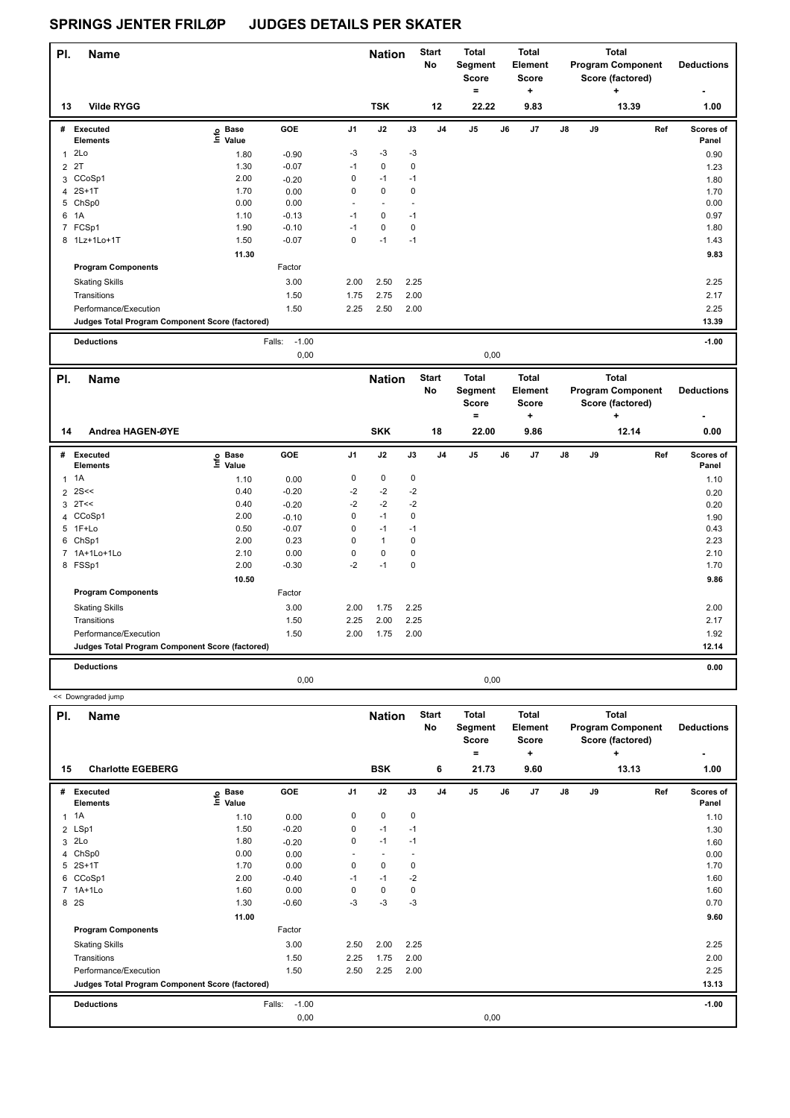<< Downgraded jump

| PI.            | <b>Name</b>                                     |                            |                   |                | <b>Nation</b> |      | <b>Start</b><br>No | Total<br>Segment<br><b>Score</b><br>= |    | <b>Total</b><br>Element<br><b>Score</b><br>٠ |    |    | <b>Total</b><br><b>Program Component</b><br>Score (factored)<br>٠ | <b>Deductions</b><br>٠    |
|----------------|-------------------------------------------------|----------------------------|-------------------|----------------|---------------|------|--------------------|---------------------------------------|----|----------------------------------------------|----|----|-------------------------------------------------------------------|---------------------------|
| 13             | <b>Vilde RYGG</b>                               |                            |                   |                | <b>TSK</b>    |      | 12                 | 22.22                                 |    | 9.83                                         |    |    | 13.39                                                             | 1.00                      |
| #              | Executed<br><b>Elements</b>                     | <b>Base</b><br>١m<br>Value | GOE               | J <sub>1</sub> | J2            | J3   | J <sub>4</sub>     | J <sub>5</sub>                        | J6 | J <sub>7</sub>                               | J8 | J9 | Ref                                                               | <b>Scores of</b><br>Panel |
| 1              | 2Lo                                             | 1.80                       | $-0.90$           | $-3$           | $-3$          | $-3$ |                    |                                       |    |                                              |    |    |                                                                   | 0.90                      |
| $\overline{2}$ | 2T                                              | 1.30                       | $-0.07$           | $-1$           | $\mathbf 0$   | 0    |                    |                                       |    |                                              |    |    |                                                                   | 1.23                      |
|                | 3 CCoSp1                                        | 2.00                       | $-0.20$           | 0              | $-1$          | $-1$ |                    |                                       |    |                                              |    |    |                                                                   | 1.80                      |
|                | 4 2S+1T                                         | 1.70                       | 0.00              | 0              | 0             | 0    |                    |                                       |    |                                              |    |    |                                                                   | 1.70                      |
|                | 5 ChSp0                                         | 0.00                       | 0.00              | ٠              |               |      |                    |                                       |    |                                              |    |    |                                                                   | 0.00                      |
| 6              | 1A                                              | 1.10                       | $-0.13$           | $-1$           | 0             | $-1$ |                    |                                       |    |                                              |    |    |                                                                   | 0.97                      |
|                | 7 FCSp1                                         | 1.90                       | $-0.10$           | $-1$           | 0             | 0    |                    |                                       |    |                                              |    |    |                                                                   | 1.80                      |
|                | 8 1Lz+1Lo+1T                                    | 1.50                       | $-0.07$           | 0              | $-1$          | $-1$ |                    |                                       |    |                                              |    |    |                                                                   | 1.43                      |
|                |                                                 | 11.30                      |                   |                |               |      |                    |                                       |    |                                              |    |    |                                                                   | 9.83                      |
|                | <b>Program Components</b>                       |                            | Factor            |                |               |      |                    |                                       |    |                                              |    |    |                                                                   |                           |
|                | <b>Skating Skills</b>                           |                            | 3.00              | 2.00           | 2.50          | 2.25 |                    |                                       |    |                                              |    |    |                                                                   | 2.25                      |
|                | Transitions                                     |                            | 1.50              | 1.75           | 2.75          | 2.00 |                    |                                       |    |                                              |    |    |                                                                   | 2.17                      |
|                | Performance/Execution                           |                            | 1.50              | 2.25           | 2.50          | 2.00 |                    |                                       |    |                                              |    |    |                                                                   | 2.25                      |
|                | Judges Total Program Component Score (factored) |                            |                   |                |               |      |                    |                                       |    |                                              |    |    |                                                                   | 13.39                     |
|                | <b>Deductions</b>                               |                            | $-1.00$<br>Falls: |                |               |      |                    |                                       |    |                                              |    |    |                                                                   | $-1.00$                   |

| PI.            | <b>Name</b>                                     |                   |         |                | <b>Nation</b> |             | <b>Start</b><br>No | <b>Total</b><br>Segment<br><b>Score</b> |      | <b>Total</b><br>Element<br>Score |    |    | Total<br><b>Program Component</b><br>Score (factored) | <b>Deductions</b>  |
|----------------|-------------------------------------------------|-------------------|---------|----------------|---------------|-------------|--------------------|-----------------------------------------|------|----------------------------------|----|----|-------------------------------------------------------|--------------------|
|                |                                                 |                   |         |                |               |             |                    | =                                       |      | ÷                                |    |    | ٠                                                     | ۰                  |
| 14             | Andrea HAGEN-ØYE                                |                   |         |                | <b>SKK</b>    |             | 18                 | 22.00                                   |      | 9.86                             |    |    | 12.14                                                 | 0.00               |
| #              | Executed<br><b>Elements</b>                     | e Base<br>⊆ Value | GOE     | J <sub>1</sub> | J2            | J3          | J <sub>4</sub>     | J <sub>5</sub>                          | J6   | J <sub>7</sub>                   | J8 | J9 | Ref                                                   | Scores of<br>Panel |
|                | $1 \t1A$                                        | 1.10              | 0.00    | 0              | $\mathbf 0$   | $\mathbf 0$ |                    |                                         |      |                                  |    |    |                                                       | 1.10               |
| $\overline{2}$ | 2S<                                             | 0.40              | $-0.20$ | $-2$           | $-2$          | $-2$        |                    |                                         |      |                                  |    |    |                                                       | 0.20               |
|                | $3$ 2T <<                                       | 0.40              | $-0.20$ | $-2$           | $-2$          | $-2$        |                    |                                         |      |                                  |    |    |                                                       | 0.20               |
| 4              | CCoSp1                                          | 2.00              | $-0.10$ | 0              | $-1$          | 0           |                    |                                         |      |                                  |    |    |                                                       | 1.90               |
|                | 5 1F+Lo                                         | 0.50              | $-0.07$ | 0              | $-1$          | $-1$        |                    |                                         |      |                                  |    |    |                                                       | 0.43               |
| 6              | ChSp1                                           | 2.00              | 0.23    | 0              | $\mathbf{1}$  | 0           |                    |                                         |      |                                  |    |    |                                                       | 2.23               |
|                | 7 1A+1Lo+1Lo                                    | 2.10              | 0.00    | 0              | $\mathbf 0$   | 0           |                    |                                         |      |                                  |    |    |                                                       | 2.10               |
|                | 8 FSSp1                                         | 2.00              | $-0.30$ | $-2$           | $-1$          | 0           |                    |                                         |      |                                  |    |    |                                                       | 1.70               |
|                |                                                 | 10.50             |         |                |               |             |                    |                                         |      |                                  |    |    |                                                       | 9.86               |
|                | <b>Program Components</b>                       |                   | Factor  |                |               |             |                    |                                         |      |                                  |    |    |                                                       |                    |
|                | <b>Skating Skills</b>                           |                   | 3.00    | 2.00           | 1.75          | 2.25        |                    |                                         |      |                                  |    |    |                                                       | 2.00               |
|                | Transitions                                     |                   | 1.50    | 2.25           | 2.00          | 2.25        |                    |                                         |      |                                  |    |    |                                                       | 2.17               |
|                | Performance/Execution                           |                   | 1.50    | 2.00           | 1.75          | 2.00        |                    |                                         |      |                                  |    |    |                                                       | 1.92               |
|                | Judges Total Program Component Score (factored) |                   |         |                |               |             |                    |                                         |      |                                  |    |    |                                                       | 12.14              |
|                | <b>Deductions</b>                               |                   |         |                |               |             |                    |                                         |      |                                  |    |    |                                                       | 0.00               |
|                |                                                 |                   | 0,00    |                |               |             |                    |                                         | 0,00 |                                  |    |    |                                                       |                    |

0,00 0,00

| PI. | <b>Name</b>                                     |                            |                   |                | <b>Nation</b>            |             | <b>Start</b><br>No | <b>Total</b><br>Segment<br><b>Score</b><br>۰ |    | <b>Total</b><br>Element<br><b>Score</b> |            |    | <b>Total</b><br><b>Program Component</b><br>Score (factored)<br>÷ | <b>Deductions</b>  |
|-----|-------------------------------------------------|----------------------------|-------------------|----------------|--------------------------|-------------|--------------------|----------------------------------------------|----|-----------------------------------------|------------|----|-------------------------------------------------------------------|--------------------|
| 15  | <b>Charlotte EGEBERG</b>                        |                            |                   |                | <b>BSK</b>               |             | 6                  | 21.73                                        |    | ٠<br>9.60                               |            |    | 13.13                                                             | 1.00               |
| #   | Executed<br><b>Elements</b>                     | e Base<br>⊑ Value<br>Value | GOE               | J <sub>1</sub> | J2                       | J3          | J <sub>4</sub>     | $\mathsf{J}5$                                | J6 | J7                                      | ${\sf J8}$ | J9 | Ref                                                               | Scores of<br>Panel |
|     | $1 \t1A$                                        | 1.10                       | 0.00              | 0              | $\pmb{0}$                | $\mathbf 0$ |                    |                                              |    |                                         |            |    |                                                                   | 1.10               |
|     | 2 LSp1                                          | 1.50                       | $-0.20$           | 0              | $-1$                     | $-1$        |                    |                                              |    |                                         |            |    |                                                                   | 1.30               |
|     | 3 2Lo                                           | 1.80                       | $-0.20$           | 0              | $-1$                     | $-1$        |                    |                                              |    |                                         |            |    |                                                                   | 1.60               |
| 4   | ChSp0                                           | 0.00                       | 0.00              | ٠              | $\overline{\phantom{a}}$ |             |                    |                                              |    |                                         |            |    |                                                                   | 0.00               |
|     | 5 2S+1T                                         | 1.70                       | 0.00              | 0              | $\mathbf 0$              | 0           |                    |                                              |    |                                         |            |    |                                                                   | 1.70               |
| 6   | CCoSp1                                          | 2.00                       | $-0.40$           | $-1$           | $-1$                     | $-2$        |                    |                                              |    |                                         |            |    |                                                                   | 1.60               |
|     | 7 1A+1Lo                                        | 1.60                       | 0.00              | 0              | $\mathbf 0$              | 0           |                    |                                              |    |                                         |            |    |                                                                   | 1.60               |
|     | 8 2S                                            | 1.30                       | $-0.60$           | $-3$           | $-3$                     | $-3$        |                    |                                              |    |                                         |            |    |                                                                   | 0.70               |
|     |                                                 | 11.00                      |                   |                |                          |             |                    |                                              |    |                                         |            |    |                                                                   | 9.60               |
|     | <b>Program Components</b>                       |                            | Factor            |                |                          |             |                    |                                              |    |                                         |            |    |                                                                   |                    |
|     | <b>Skating Skills</b>                           |                            | 3.00              | 2.50           | 2.00                     | 2.25        |                    |                                              |    |                                         |            |    |                                                                   | 2.25               |
|     | Transitions                                     |                            | 1.50              | 2.25           | 1.75                     | 2.00        |                    |                                              |    |                                         |            |    |                                                                   | 2.00               |
|     | Performance/Execution                           |                            | 1.50              | 2.50           | 2.25                     | 2.00        |                    |                                              |    |                                         |            |    |                                                                   | 2.25               |
|     | Judges Total Program Component Score (factored) |                            |                   |                |                          |             |                    |                                              |    |                                         |            |    |                                                                   | 13.13              |
|     | <b>Deductions</b>                               |                            | $-1.00$<br>Falls: |                |                          |             |                    |                                              |    |                                         |            |    |                                                                   | $-1.00$            |
|     |                                                 |                            | 0,00              |                |                          |             |                    | 0,00                                         |    |                                         |            |    |                                                                   |                    |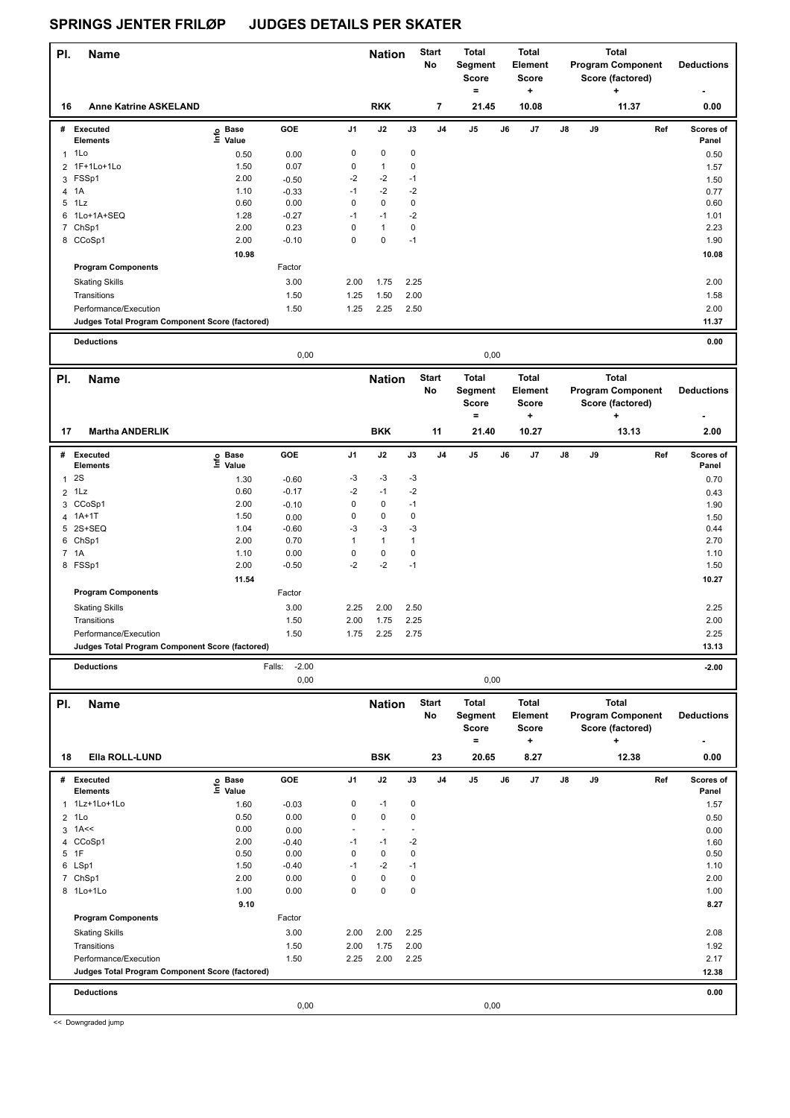| PI.            | <b>Name</b>                                     |                   |                   |                   | <b>Nation</b> |              | <b>Start</b>             | Total                    |    | <b>Total</b>      |    |    | <b>Total</b>             |     |                   |
|----------------|-------------------------------------------------|-------------------|-------------------|-------------------|---------------|--------------|--------------------------|--------------------------|----|-------------------|----|----|--------------------------|-----|-------------------|
|                |                                                 |                   |                   |                   |               |              | No                       | Segment                  |    | <b>Element</b>    |    |    | <b>Program Component</b> |     | <b>Deductions</b> |
|                |                                                 |                   |                   |                   |               |              |                          | <b>Score</b><br>$\equiv$ |    | <b>Score</b><br>+ |    |    | Score (factored)<br>٠    |     |                   |
| 16             | <b>Anne Katrine ASKELAND</b>                    |                   |                   |                   | <b>RKK</b>    |              | $\overline{\phantom{a}}$ | 21.45                    |    | 10.08             |    |    | 11.37                    |     | 0.00              |
|                | # Executed                                      |                   | GOE               | J <sub>1</sub>    | J2            | J3           | J4                       | J5                       | J6 | J7                | J8 | J9 |                          | Ref | Scores of         |
|                | <b>Elements</b>                                 | e Base<br>E Value |                   |                   |               |              |                          |                          |    |                   |    |    |                          |     | Panel             |
|                | $1$ 1 Lo                                        | 0.50              | 0.00              | 0                 | 0             | 0            |                          |                          |    |                   |    |    |                          |     | 0.50              |
| $\overline{2}$ | 1F+1Lo+1Lo                                      | 1.50              | 0.07              | $\pmb{0}$         | $\mathbf{1}$  | 0            |                          |                          |    |                   |    |    |                          |     | 1.57              |
|                | 3 FSSp1                                         | 2.00              | $-0.50$           | $-2$              | -2            | $-1$         |                          |                          |    |                   |    |    |                          |     | 1.50              |
| 4              | 1A                                              | 1.10              | $-0.33$           | $-1$              | $-2$          | $-2$         |                          |                          |    |                   |    |    |                          |     | 0.77              |
| 6              | 5 1Lz<br>1Lo+1A+SEQ                             | 0.60<br>1.28      | 0.00<br>$-0.27$   | $\pmb{0}$<br>$-1$ | 0<br>$-1$     | 0<br>$-2$    |                          |                          |    |                   |    |    |                          |     | 0.60<br>1.01      |
|                | 7 ChSp1                                         | 2.00              | 0.23              | $\mathbf 0$       | $\mathbf{1}$  | $\pmb{0}$    |                          |                          |    |                   |    |    |                          |     | 2.23              |
|                | 8 CCoSp1                                        | 2.00              | $-0.10$           | $\mathbf 0$       | $\pmb{0}$     | $-1$         |                          |                          |    |                   |    |    |                          |     | 1.90              |
|                |                                                 | 10.98             |                   |                   |               |              |                          |                          |    |                   |    |    |                          |     | 10.08             |
|                | <b>Program Components</b>                       |                   | Factor            |                   |               |              |                          |                          |    |                   |    |    |                          |     |                   |
|                | <b>Skating Skills</b>                           |                   | 3.00              | 2.00              | 1.75          | 2.25         |                          |                          |    |                   |    |    |                          |     | 2.00              |
|                | Transitions                                     |                   | 1.50              | 1.25              | 1.50          | 2.00         |                          |                          |    |                   |    |    |                          |     | 1.58              |
|                | Performance/Execution                           |                   | 1.50              | 1.25              | 2.25          | 2.50         |                          |                          |    |                   |    |    |                          |     | 2.00              |
|                | Judges Total Program Component Score (factored) |                   |                   |                   |               |              |                          |                          |    |                   |    |    |                          |     | 11.37             |
|                | <b>Deductions</b>                               |                   |                   |                   |               |              |                          |                          |    |                   |    |    |                          |     | 0.00              |
|                |                                                 | 0,00<br>0,00      |                   |                   |               |              |                          |                          |    |                   |    |    |                          |     |                   |
|                | <b>Name</b>                                     |                   |                   |                   |               |              | <b>Start</b>             | <b>Total</b>             |    | <b>Total</b>      |    |    | <b>Total</b>             |     |                   |
| PI.            |                                                 |                   |                   |                   | <b>Nation</b> |              | No                       | Segment                  |    | Element           |    |    | <b>Program Component</b> |     | <b>Deductions</b> |
|                |                                                 |                   |                   |                   |               |              |                          | <b>Score</b>             |    | <b>Score</b>      |    |    | Score (factored)         |     |                   |
|                |                                                 |                   |                   |                   |               |              |                          | $\qquad \qquad =$        |    | ٠                 |    |    | ٠                        |     |                   |
| 17             | <b>Martha ANDERLIK</b>                          |                   |                   |                   | <b>BKK</b>    |              | 11                       | 21.40                    |    | 10.27             |    |    | 13.13                    |     | 2.00              |
| #              | Executed                                        |                   | GOE               | J1                | J2            | J3           | J4                       | J5                       | J6 | J7                | J8 | J9 |                          | Ref | Scores of         |
|                | Elements                                        | e Base<br>⊑ Value |                   |                   |               |              |                          |                          |    |                   |    |    |                          |     | Panel             |
| $\mathbf{1}$   | 2S                                              | 1.30              | $-0.60$           | -3                | -3            | -3           |                          |                          |    |                   |    |    |                          |     | 0.70              |
|                | $2$ 1 Lz                                        | 0.60              | $-0.17$           | $-2$              | $-1$          | $-2$         |                          |                          |    |                   |    |    |                          |     | 0.43              |
|                | 3 CCoSp1                                        | 2.00              | $-0.10$           | 0                 | 0             | $-1$         |                          |                          |    |                   |    |    |                          |     | 1.90              |
|                | 4 1A+1T                                         | 1.50              | 0.00              | $\pmb{0}$         | 0             | 0            |                          |                          |    |                   |    |    |                          |     | 1.50              |
|                | 5 2S+SEQ                                        | 1.04              | $-0.60$           | -3                | $-3$          | $-3$         |                          |                          |    |                   |    |    |                          |     | 0.44              |
|                | 6 ChSp1                                         | 2.00              | 0.70              | $\mathbf{1}$      | $\mathbf{1}$  | $\mathbf{1}$ |                          |                          |    |                   |    |    |                          |     | 2.70              |
|                | 7 1A                                            | 1.10              | 0.00              | $\pmb{0}$         | 0             | 0            |                          |                          |    |                   |    |    |                          |     | 1.10              |
|                | 8 FSSp1                                         | 2.00              | $-0.50$           | $-2$              | $-2$          | $-1$         |                          |                          |    |                   |    |    |                          |     | 1.50              |
|                |                                                 | 11.54             |                   |                   |               |              |                          |                          |    |                   |    |    |                          |     | 10.27             |
|                | <b>Program Components</b>                       |                   | Factor            |                   |               |              |                          |                          |    |                   |    |    |                          |     |                   |
|                | <b>Skating Skills</b>                           |                   | 3.00              | 2.25              | 2.00          | 2.50         |                          |                          |    |                   |    |    |                          |     | 2.25              |
|                | Transitions<br>Performance/Execution            |                   | 1.50<br>1.50      | 2.00              | 1.75          | 2.25<br>2.75 |                          |                          |    |                   |    |    |                          |     | 2.00<br>2.25      |
|                | Judges Total Program Component Score (factored) |                   |                   | 1.75              | 2.25          |              |                          |                          |    |                   |    |    |                          |     | 13.13             |
|                |                                                 |                   |                   |                   |               |              |                          |                          |    |                   |    |    |                          |     |                   |
|                | <b>Deductions</b>                               |                   | $-2.00$<br>Falls: |                   |               |              |                          |                          |    |                   |    |    |                          |     | $-2.00$           |
|                |                                                 |                   | 0,00              |                   |               |              |                          | 0,00                     |    |                   |    |    |                          |     |                   |
| PI.            | <b>Name</b>                                     |                   |                   |                   | <b>Nation</b> |              | <b>Start</b>             | <b>Total</b>             |    | <b>Total</b>      |    |    | <b>Total</b>             |     |                   |
|                |                                                 |                   |                   |                   |               |              | No                       | Segment                  |    | Element           |    |    | <b>Program Component</b> |     | <b>Deductions</b> |
|                |                                                 |                   |                   |                   |               |              |                          | Score                    |    | Score             |    |    | Score (factored)         |     |                   |
|                |                                                 |                   |                   |                   |               |              |                          | $=$                      |    | $\ddot{}$         |    |    | ٠                        |     |                   |
| 18             | Ella ROLL-LUND                                  |                   |                   |                   | <b>BSK</b>    |              | 23                       | 20.65                    |    | 8.27              |    |    | 12.38                    |     | 0.00              |
| #              | <b>Executed</b>                                 | e Base<br>⊑ Value | GOE               | J1                | J2            | J3           | J4                       | J5                       | J6 | J7                | J8 | J9 |                          | Ref | Scores of         |
|                | <b>Elements</b>                                 |                   |                   |                   |               |              |                          |                          |    |                   |    |    |                          |     | Panel             |
| 1              | 1Lz+1Lo+1Lo                                     | 1.60              | $-0.03$           | 0                 | $-1$          | 0            |                          |                          |    |                   |    |    |                          |     | 1.57              |
|                | $2$ 1 Lo                                        | 0.50<br>0.00      | 0.00              | $\mathbf 0$       | 0<br>ä,       | 0<br>÷,      |                          |                          |    |                   |    |    |                          |     | 0.50              |
| 3              | 1A <<<br>4 CCoSp1                               | 2.00              | 0.00<br>$-0.40$   | -1                | $-1$          | $-2$         |                          |                          |    |                   |    |    |                          |     | 0.00<br>1.60      |
|                | 5 1F                                            | 0.50              | 0.00              | 0                 | 0             | 0            |                          |                          |    |                   |    |    |                          |     | 0.50              |
|                | 6 LSp1                                          | 1.50              | $-0.40$           | $-1$              | $-2$          | $-1$         |                          |                          |    |                   |    |    |                          |     | 1.10              |
|                | 7 ChSp1                                         | 2.00              | 0.00              | 0                 | 0             | 0            |                          |                          |    |                   |    |    |                          |     | 2.00              |
|                | 8 1Lo+1Lo                                       | 1.00              | 0.00              | $\mathbf 0$       | $\pmb{0}$     | 0            |                          |                          |    |                   |    |    |                          |     | 1.00              |
|                |                                                 | 9.10              |                   |                   |               |              |                          |                          |    |                   |    |    |                          |     | 8.27              |
|                | <b>Program Components</b>                       |                   | Factor            |                   |               |              |                          |                          |    |                   |    |    |                          |     |                   |
|                | <b>Skating Skills</b>                           |                   | 3.00              | 2.00              | 2.00          | 2.25         |                          |                          |    |                   |    |    |                          |     | 2.08              |
|                | Transitions                                     |                   | 1.50              | 2.00              | 1.75          | 2.00         |                          |                          |    |                   |    |    |                          |     | 1.92              |
|                | Performance/Execution                           |                   | 1.50              | 2.25              | 2.00          | 2.25         |                          |                          |    |                   |    |    |                          |     | 2.17              |
|                | Judges Total Program Component Score (factored) |                   |                   |                   |               |              |                          |                          |    |                   |    |    |                          |     | 12.38             |

**Deductions 0.00**

0,00 0,00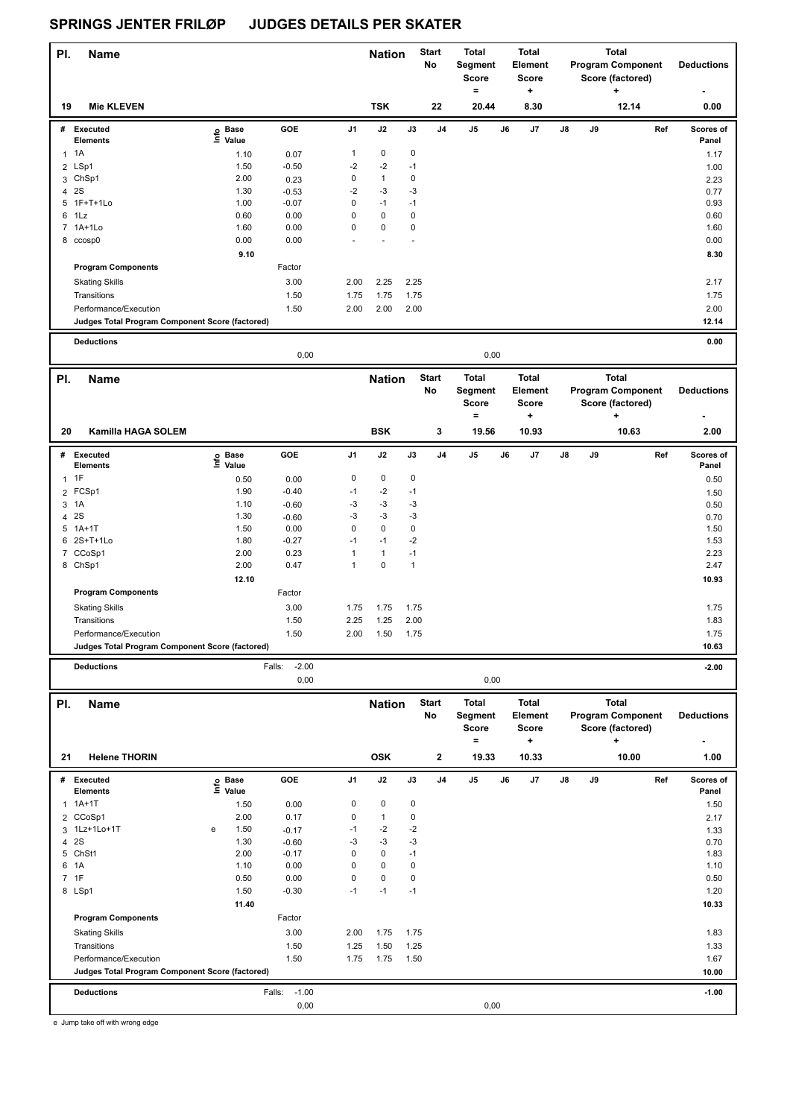| PI.          | <b>Name</b>                                     |                   |                   |                     | <b>Nation</b>     |              | <b>Start</b><br>No | <b>Total</b><br>Segment<br>Score |    | <b>Total</b><br><b>Element</b><br><b>Score</b> |    |    | <b>Total</b><br><b>Program Component</b><br>Score (factored) | <b>Deductions</b>         |  |
|--------------|-------------------------------------------------|-------------------|-------------------|---------------------|-------------------|--------------|--------------------|----------------------------------|----|------------------------------------------------|----|----|--------------------------------------------------------------|---------------------------|--|
|              |                                                 |                   |                   |                     |                   |              |                    | $\qquad \qquad =$                |    | $\ddot{}$                                      |    |    | ۰.                                                           |                           |  |
| 19           | <b>Mie KLEVEN</b>                               |                   |                   |                     | <b>TSK</b>        |              | 22                 | 20.44                            |    | 8.30                                           |    |    | 12.14                                                        | 0.00                      |  |
|              | # Executed<br><b>Elements</b>                   | e Base<br>E Value | GOE               | J1                  | J2                | J3           | J4                 | J5                               | J6 | J7                                             | J8 | J9 |                                                              | Ref<br>Scores of<br>Panel |  |
| $\mathbf{1}$ | 1A                                              | 1.10              | 0.07              | $\mathbf{1}$        | $\pmb{0}$         | 0            |                    |                                  |    |                                                |    |    |                                                              | 1.17                      |  |
|              | 2 LSp1                                          | 1.50              | $-0.50$           | $-2$                | $-2$              | $-1$         |                    |                                  |    |                                                |    |    |                                                              | 1.00                      |  |
| 3            | ChSp1                                           | 2.00              | 0.23              | $\pmb{0}$           | $\mathbf{1}$      | 0            |                    |                                  |    |                                                |    |    |                                                              | 2.23                      |  |
|              | 4 2 S                                           | 1.30              | $-0.53$           | $-2$                | $-3$              | $-3$         |                    |                                  |    |                                                |    |    |                                                              | 0.77                      |  |
| 5            | 1F+T+1Lo                                        | 1.00              | $-0.07$           | $\mathbf 0$         | $-1$              | $-1$         |                    |                                  |    |                                                |    |    |                                                              | 0.93                      |  |
|              | 6 1Lz                                           | 0.60              | 0.00              | $\mathbf 0$         | $\pmb{0}$         | 0            |                    |                                  |    |                                                |    |    |                                                              | 0.60                      |  |
|              | 7 1A+1Lo                                        | 1.60              | 0.00              | $\pmb{0}$           | $\pmb{0}$         | 0            |                    |                                  |    |                                                |    |    |                                                              | 1.60                      |  |
|              | 8 ccosp0                                        | 0.00              | 0.00              |                     | ä,                | ÷,           |                    |                                  |    |                                                |    |    |                                                              | 0.00                      |  |
|              |                                                 | 9.10              |                   |                     |                   |              |                    |                                  |    |                                                |    |    |                                                              | 8.30                      |  |
|              | <b>Program Components</b>                       |                   | Factor            |                     |                   |              |                    |                                  |    |                                                |    |    |                                                              |                           |  |
|              | <b>Skating Skills</b>                           |                   | 3.00              | 2.00                | 2.25              | 2.25         |                    |                                  |    |                                                |    |    |                                                              | 2.17                      |  |
|              | Transitions                                     |                   | 1.50              | 1.75                | 1.75              | 1.75         |                    |                                  |    |                                                |    |    |                                                              | 1.75                      |  |
|              | Performance/Execution                           |                   | 1.50              | 2.00                | 2.00              | 2.00         |                    |                                  |    |                                                |    |    |                                                              | 2.00                      |  |
|              | Judges Total Program Component Score (factored) |                   |                   |                     |                   |              |                    |                                  |    |                                                |    |    |                                                              | 12.14                     |  |
|              | <b>Deductions</b>                               |                   |                   |                     |                   |              |                    |                                  |    |                                                |    |    |                                                              | 0.00                      |  |
|              |                                                 |                   | 0,00              |                     |                   |              |                    | 0,00                             |    |                                                |    |    |                                                              |                           |  |
| PI.          | <b>Name</b>                                     |                   |                   |                     | <b>Nation</b>     |              | <b>Start</b>       | <b>Total</b>                     |    | <b>Total</b>                                   |    |    | <b>Total</b>                                                 |                           |  |
|              |                                                 |                   |                   |                     |                   |              | No                 | Segment                          |    | Element                                        |    |    | <b>Program Component</b>                                     | <b>Deductions</b>         |  |
|              |                                                 |                   |                   |                     |                   |              |                    | <b>Score</b>                     |    | <b>Score</b>                                   |    |    | Score (factored)                                             |                           |  |
|              |                                                 |                   |                   |                     |                   |              |                    | $=$                              |    | ÷                                              |    |    | ٠                                                            |                           |  |
| 20           | Kamilla HAGA SOLEM                              |                   |                   |                     | <b>BSK</b>        |              | 3                  | 19.56                            |    | 10.93                                          |    |    | 10.63                                                        | 2.00                      |  |
| #            | <b>Executed</b>                                 |                   | GOE               | J1                  | J2                | J3           | J4                 | J5                               | J6 | J7                                             | J8 | J9 |                                                              | Ref<br>Scores of          |  |
|              | <b>Elements</b>                                 | e Base<br>⊑ Value |                   |                     |                   |              |                    |                                  |    |                                                |    |    |                                                              | Panel                     |  |
|              | $1$ 1F                                          | 0.50              | 0.00              | $\pmb{0}$           | 0                 | 0            |                    |                                  |    |                                                |    |    |                                                              | 0.50                      |  |
|              | 2 FCSp1                                         | 1.90              | $-0.40$           | $-1$                | $-2$              | $-1$         |                    |                                  |    |                                                |    |    |                                                              | 1.50                      |  |
| 3            | 1A                                              | 1.10              | $-0.60$           | $-3$                | $-3$              | $-3$         |                    |                                  |    |                                                |    |    |                                                              | 0.50                      |  |
|              | 4 2S                                            | 1.30              | $-0.60$           | -3                  | $-3$              | $-3$         |                    |                                  |    |                                                |    |    |                                                              | 0.70                      |  |
| 5            | $1A+1T$                                         | 1.50              | 0.00              | $\mathbf 0$         | $\pmb{0}$         | 0            |                    |                                  |    |                                                |    |    |                                                              | 1.50                      |  |
|              | 6 2S+T+1Lo                                      | 1.80              | $-0.27$           | $-1$                | $-1$              | $-2$         |                    |                                  |    |                                                |    |    |                                                              | 1.53                      |  |
|              | 7 CCoSp1                                        | 2.00              | 0.23              | $\mathbf{1}$        | $\mathbf{1}$      | $-1$         |                    |                                  |    |                                                |    |    |                                                              | 2.23                      |  |
|              | 8 ChSp1                                         | 2.00              | 0.47              | $\mathbf{1}$        | $\pmb{0}$         | $\mathbf{1}$ |                    |                                  |    |                                                |    |    |                                                              | 2.47                      |  |
|              |                                                 | 12.10             |                   |                     |                   |              |                    |                                  |    |                                                |    |    |                                                              | 10.93                     |  |
|              | <b>Program Components</b>                       |                   | Factor            |                     |                   |              |                    |                                  |    |                                                |    |    |                                                              |                           |  |
|              | <b>Skating Skills</b>                           |                   | 3.00              | 1.75                | 1.75              | 1.75         |                    |                                  |    |                                                |    |    |                                                              | 1.75                      |  |
|              | Transitions                                     |                   | 1.50              | 2.25                | 1.25              | 2.00         |                    |                                  |    |                                                |    |    |                                                              | 1.83                      |  |
|              | Performance/Execution                           |                   | 1.50              | 2.00                | 1.50              | 1.75         |                    |                                  |    |                                                |    |    |                                                              | 1.75                      |  |
|              | Judges Total Program Component Score (factored) |                   |                   |                     |                   |              |                    |                                  |    |                                                |    |    |                                                              | 10.63                     |  |
|              | <b>Deductions</b>                               |                   | $-2.00$<br>Falls: |                     |                   |              |                    |                                  |    |                                                |    |    |                                                              | $-2.00$                   |  |
|              |                                                 |                   | 0,00              |                     |                   |              |                    | 0,00                             |    |                                                |    |    |                                                              |                           |  |
| PI.          | <b>Name</b>                                     |                   |                   |                     | <b>Nation</b>     |              | <b>Start</b>       | <b>Total</b>                     |    | <b>Total</b>                                   |    |    | <b>Total</b>                                                 |                           |  |
|              |                                                 |                   |                   |                     |                   |              | No                 | Segment                          |    | Element                                        |    |    | <b>Program Component</b>                                     | <b>Deductions</b>         |  |
|              |                                                 |                   |                   |                     |                   |              |                    | Score                            |    | <b>Score</b>                                   |    |    | Score (factored)                                             |                           |  |
|              |                                                 |                   |                   |                     |                   |              |                    | $=$                              |    | ÷                                              |    |    | +                                                            |                           |  |
| 21           | <b>Helene THORIN</b>                            |                   |                   |                     | <b>OSK</b>        |              | $\mathbf{2}$       | 19.33                            |    | 10.33                                          |    |    | 10.00                                                        | 1.00                      |  |
|              | # Executed                                      |                   | GOE               | J1                  | J2                | J3           | J4                 | J5                               | J6 | J7                                             | J8 | J9 |                                                              | Ref<br>Scores of          |  |
|              | Elements                                        | e Base<br>⊑ Value |                   |                     |                   |              |                    |                                  |    |                                                |    |    |                                                              | Panel                     |  |
|              | $1.1A+1T$                                       | 1.50              | 0.00              | 0                   | 0                 | 0            |                    |                                  |    |                                                |    |    |                                                              | 1.50                      |  |
|              | 2 CCoSp1                                        | 2.00              | 0.17              | $\pmb{0}$           | $\mathbf{1}$      | 0            |                    |                                  |    |                                                |    |    |                                                              | 2.17                      |  |
|              | 3 1Lz+1Lo+1T                                    | 1.50<br>e         | $-0.17$           | $-1$                | $-2$              | $-2$         |                    |                                  |    |                                                |    |    |                                                              | 1.33                      |  |
| 4            | 2S                                              | 1.30              | $-0.60$           | -3                  | $-3$              | -3           |                    |                                  |    |                                                |    |    |                                                              | 0.70                      |  |
|              | 5 ChSt1                                         | 2.00              | $-0.17$           | $\mathbf 0$         | $\pmb{0}$         | $-1$         |                    |                                  |    |                                                |    |    |                                                              | 1.83                      |  |
| 6            | 1A                                              | 1.10              | 0.00              | $\mathbf 0$         | $\pmb{0}$         | 0            |                    |                                  |    |                                                |    |    |                                                              | 1.10                      |  |
|              | 7 1F                                            | 0.50<br>1.50      | 0.00              | $\mathbf 0$<br>$-1$ | $\pmb{0}$<br>$-1$ | 0<br>$-1$    |                    |                                  |    |                                                |    |    |                                                              | 0.50                      |  |
|              | 8 LSp1                                          | 11.40             | $-0.30$           |                     |                   |              |                    |                                  |    |                                                |    |    |                                                              | 1.20<br>10.33             |  |
|              | <b>Program Components</b>                       |                   | Factor            |                     |                   |              |                    |                                  |    |                                                |    |    |                                                              |                           |  |
|              | <b>Skating Skills</b>                           |                   | 3.00              | 2.00                | 1.75              | 1.75         |                    |                                  |    |                                                |    |    |                                                              | 1.83                      |  |
|              | Transitions                                     |                   | 1.50              | 1.25                | 1.50              | 1.25         |                    |                                  |    |                                                |    |    |                                                              | 1.33                      |  |
|              | Performance/Execution                           |                   | 1.50              | 1.75                | 1.75              | 1.50         |                    |                                  |    |                                                |    |    |                                                              | 1.67                      |  |
|              | Judges Total Program Component Score (factored) |                   |                   |                     |                   |              |                    |                                  |    |                                                |    |    |                                                              | 10.00                     |  |
|              |                                                 |                   |                   |                     |                   |              |                    |                                  |    |                                                |    |    |                                                              |                           |  |

**Deductions** Falls: -1.00 **-1.00** 0,00 0,00

e Jump take off with wrong edge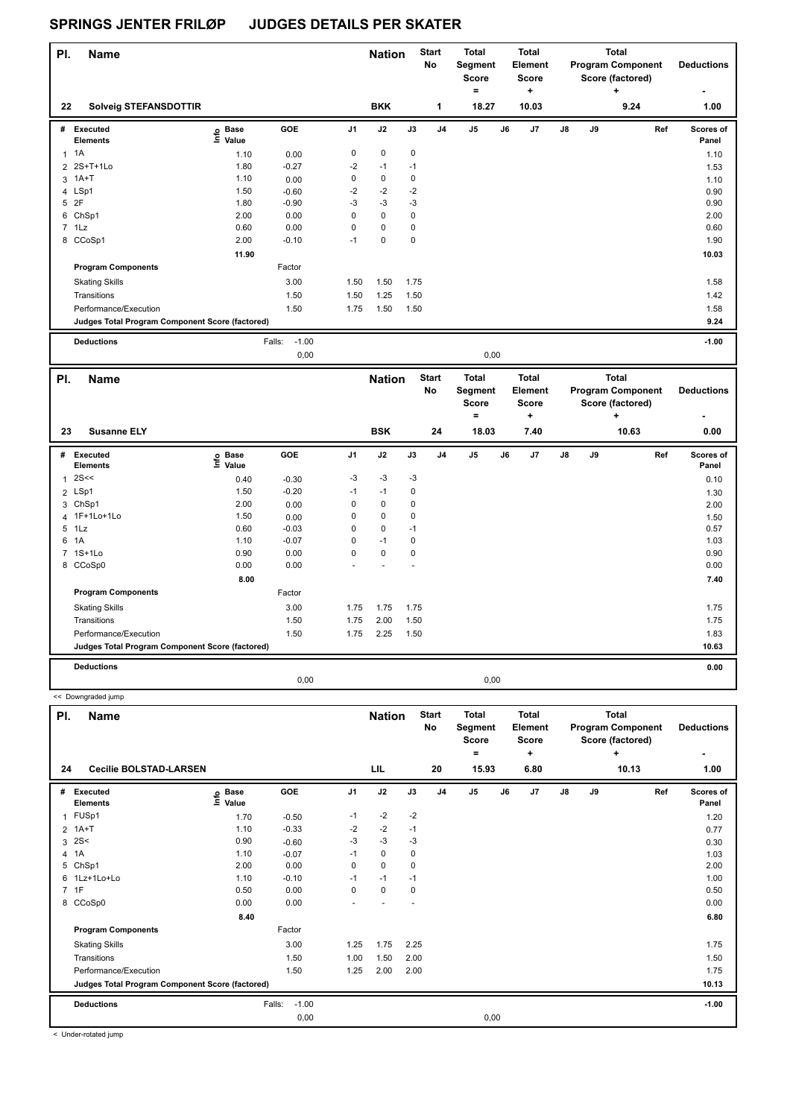| PI. | <b>Name</b>                                     |                            |                   |                | <b>Nation</b> |      | <b>Start</b><br>No | Total<br>Segment<br><b>Score</b><br>= |    | <b>Total</b><br>Element<br><b>Score</b><br>٠ |    |    | <b>Total</b><br><b>Program Component</b><br>Score (factored)<br>٠ | <b>Deductions</b><br>٠ |
|-----|-------------------------------------------------|----------------------------|-------------------|----------------|---------------|------|--------------------|---------------------------------------|----|----------------------------------------------|----|----|-------------------------------------------------------------------|------------------------|
| 22  | <b>Solveig STEFANSDOTTIR</b>                    |                            |                   |                | <b>BKK</b>    |      | 1                  | 18.27                                 |    | 10.03                                        |    |    | 9.24                                                              | 1.00                   |
| #   | Executed<br><b>Elements</b>                     | <b>Base</b><br>١m<br>Value | GOE               | J <sub>1</sub> | J2            | J3   | J <sub>4</sub>     | J <sub>5</sub>                        | J6 | J <sub>7</sub>                               | J8 | J9 | Ref                                                               | Scores of<br>Panel     |
| 1   | 1A                                              | 1.10                       | 0.00              | 0              | 0             | 0    |                    |                                       |    |                                              |    |    |                                                                   | 1.10                   |
|     | 2 2S+T+1Lo                                      | 1.80                       | $-0.27$           | $-2$           | $-1$          | $-1$ |                    |                                       |    |                                              |    |    |                                                                   | 1.53                   |
|     | 3 1A+T                                          | 1.10                       | 0.00              | 0              | 0             | 0    |                    |                                       |    |                                              |    |    |                                                                   | 1.10                   |
|     | 4 LSp1                                          | 1.50                       | $-0.60$           | $-2$           | $-2$          | $-2$ |                    |                                       |    |                                              |    |    |                                                                   | 0.90                   |
| 5   | 2F                                              | 1.80                       | $-0.90$           | $-3$           | $-3$          | $-3$ |                    |                                       |    |                                              |    |    |                                                                   | 0.90                   |
|     | 6 ChSp1                                         | 2.00                       | 0.00              | 0              | 0             | 0    |                    |                                       |    |                                              |    |    |                                                                   | 2.00                   |
|     | $7$ 1 Lz                                        | 0.60                       | 0.00              | $\mathbf 0$    | 0             | 0    |                    |                                       |    |                                              |    |    |                                                                   | 0.60                   |
|     | 8 CCoSp1                                        | 2.00                       | $-0.10$           | $-1$           | $\mathbf 0$   | 0    |                    |                                       |    |                                              |    |    |                                                                   | 1.90                   |
|     |                                                 | 11.90                      |                   |                |               |      |                    |                                       |    |                                              |    |    |                                                                   | 10.03                  |
|     | <b>Program Components</b>                       |                            | Factor            |                |               |      |                    |                                       |    |                                              |    |    |                                                                   |                        |
|     | <b>Skating Skills</b>                           |                            | 3.00              | 1.50           | 1.50          | 1.75 |                    |                                       |    |                                              |    |    |                                                                   | 1.58                   |
|     | Transitions                                     |                            | 1.50              | 1.50           | 1.25          | 1.50 |                    |                                       |    |                                              |    |    |                                                                   | 1.42                   |
|     | Performance/Execution                           |                            | 1.50              | 1.75           | 1.50          | 1.50 |                    |                                       |    |                                              |    |    |                                                                   | 1.58                   |
|     | Judges Total Program Component Score (factored) |                            |                   |                |               |      |                    |                                       |    |                                              |    |    |                                                                   | 9.24                   |
|     | <b>Deductions</b>                               |                            | $-1.00$<br>Falls: |                |               |      |                    |                                       |    |                                              |    |    |                                                                   | $-1.00$                |

|              |                                                 |                   | 0,00    |                |                             |      |                          |                                                       | 0,00 |                                                      |                                                                            |    |  |                           |                           |
|--------------|-------------------------------------------------|-------------------|---------|----------------|-----------------------------|------|--------------------------|-------------------------------------------------------|------|------------------------------------------------------|----------------------------------------------------------------------------|----|--|---------------------------|---------------------------|
| PI.<br>23    | Name<br><b>Susanne ELY</b>                      |                   |         |                | <b>Nation</b><br><b>BSK</b> |      | <b>Start</b><br>No<br>24 | <b>Total</b><br>Segment<br><b>Score</b><br>٠<br>18.03 |      | <b>Total</b><br>Element<br><b>Score</b><br>÷<br>7.40 | <b>Total</b><br><b>Program Component</b><br>Score (factored)<br>٠<br>10.63 |    |  | <b>Deductions</b><br>0.00 |                           |
| #            | <b>Executed</b><br><b>Elements</b>              | e Base<br>⊑ Value | GOE     | J <sub>1</sub> | J2                          | J3   | J <sub>4</sub>           | J5                                                    | J6   | J7                                                   | J8                                                                         | J9 |  | Ref                       | <b>Scores of</b><br>Panel |
| $\mathbf{1}$ | 2S<<                                            | 0.40              | $-0.30$ | $-3$           | $-3$                        | $-3$ |                          |                                                       |      |                                                      |                                                                            |    |  |                           | 0.10                      |
|              | 2 LSp1                                          | 1.50              | $-0.20$ | $-1$           | $-1$                        | 0    |                          |                                                       |      |                                                      |                                                                            |    |  |                           | 1.30                      |
|              | 3 ChSp1                                         | 2.00              | 0.00    | 0              | $\mathbf 0$                 | 0    |                          |                                                       |      |                                                      |                                                                            |    |  |                           | 2.00                      |
|              | 4 1F+1Lo+1Lo                                    | 1.50              | 0.00    | 0              | $\Omega$                    | 0    |                          |                                                       |      |                                                      |                                                                            |    |  |                           | 1.50                      |
| $5^{\circ}$  | 1Lz                                             | 0.60              | $-0.03$ | 0              | $\mathbf 0$                 | $-1$ |                          |                                                       |      |                                                      |                                                                            |    |  |                           | 0.57                      |
| 6            | 1A                                              | 1.10              | $-0.07$ | 0              | $-1$                        | 0    |                          |                                                       |      |                                                      |                                                                            |    |  |                           | 1.03                      |
|              | 7 1S+1Lo                                        | 0.90              | 0.00    | 0              | $\mathbf 0$                 | 0    |                          |                                                       |      |                                                      |                                                                            |    |  |                           | 0.90                      |
|              | 8 CCoSp0                                        | 0.00              | 0.00    |                |                             |      |                          |                                                       |      |                                                      |                                                                            |    |  |                           | 0.00                      |
|              |                                                 | 8.00              |         |                |                             |      |                          |                                                       |      |                                                      |                                                                            |    |  |                           | 7.40                      |
|              | <b>Program Components</b>                       |                   | Factor  |                |                             |      |                          |                                                       |      |                                                      |                                                                            |    |  |                           |                           |
|              | <b>Skating Skills</b>                           |                   | 3.00    | 1.75           | 1.75                        | 1.75 |                          |                                                       |      |                                                      |                                                                            |    |  |                           | 1.75                      |
|              | Transitions                                     |                   | 1.50    | 1.75           | 2.00                        | 1.50 |                          |                                                       |      |                                                      |                                                                            |    |  |                           | 1.75                      |
|              | Performance/Execution                           |                   | 1.50    | 1.75           | 2.25                        | 1.50 |                          |                                                       |      |                                                      |                                                                            |    |  |                           | 1.83                      |
|              | Judges Total Program Component Score (factored) |                   |         |                |                             |      |                          |                                                       |      |                                                      |                                                                            |    |  |                           | 10.63                     |
|              | <b>Deductions</b>                               |                   |         |                |                             |      |                          |                                                       |      |                                                      |                                                                            |    |  |                           | 0.00                      |
|              |                                                 |                   | 0,00    |                |                             |      |                          |                                                       | 0,00 |                                                      |                                                                            |    |  |                           |                           |

| PI.            | <b>Name</b>                                     |                   |                   | <b>Nation</b>  |             | <b>Start</b><br>No       | <b>Total</b><br>Segment<br><b>Score</b><br>۰ |       | Total<br>Element<br><b>Score</b><br>÷ |      |    | <b>Total</b><br><b>Program Component</b><br>Score (factored)<br>÷ | <b>Deductions</b> |                    |
|----------------|-------------------------------------------------|-------------------|-------------------|----------------|-------------|--------------------------|----------------------------------------------|-------|---------------------------------------|------|----|-------------------------------------------------------------------|-------------------|--------------------|
| 24             | <b>Cecilie BOLSTAD-LARSEN</b>                   |                   |                   |                | LIL         |                          | 20                                           | 15.93 |                                       | 6.80 |    |                                                                   | 10.13             | 1.00               |
| #              | Executed<br><b>Elements</b>                     | e Base<br>⊆ Value | GOE               | J <sub>1</sub> | J2          | J3                       | J <sub>4</sub>                               | J5    | J6                                    | J7   | J8 | J9                                                                | Ref               | Scores of<br>Panel |
| 1              | FUSp1                                           | 1.70              | $-0.50$           | $-1$           | $-2$        | $-2$                     |                                              |       |                                       |      |    |                                                                   |                   | 1.20               |
| $\overline{2}$ | $1A+T$                                          | 1.10              | $-0.33$           | $-2$           | $-2$        | $-1$                     |                                              |       |                                       |      |    |                                                                   |                   | 0.77               |
| 3              | 2S<                                             | 0.90              | $-0.60$           | $-3$           | $-3$        | -3                       |                                              |       |                                       |      |    |                                                                   |                   | 0.30               |
| 4              | 1A                                              | 1.10              | $-0.07$           | $-1$           | $\mathbf 0$ | 0                        |                                              |       |                                       |      |    |                                                                   |                   | 1.03               |
| 5              | ChSp1                                           | 2.00              | 0.00              | 0              | $\mathbf 0$ | 0                        |                                              |       |                                       |      |    |                                                                   |                   | 2.00               |
| 6              | 1Lz+1Lo+Lo                                      | 1.10              | $-0.10$           | $-1$           | $-1$        | $-1$                     |                                              |       |                                       |      |    |                                                                   |                   | 1.00               |
|                | 7 1F                                            | 0.50              | 0.00              | 0              | $\pmb{0}$   | 0                        |                                              |       |                                       |      |    |                                                                   |                   | 0.50               |
|                | 8 CCoSp0                                        | 0.00              | 0.00              | ٠              |             | $\overline{\phantom{a}}$ |                                              |       |                                       |      |    |                                                                   |                   | 0.00               |
|                |                                                 | 8.40              |                   |                |             |                          |                                              |       |                                       |      |    |                                                                   |                   | 6.80               |
|                | <b>Program Components</b>                       |                   | Factor            |                |             |                          |                                              |       |                                       |      |    |                                                                   |                   |                    |
|                | <b>Skating Skills</b>                           |                   | 3.00              | 1.25           | 1.75        | 2.25                     |                                              |       |                                       |      |    |                                                                   |                   | 1.75               |
|                | Transitions                                     |                   | 1.50              | 1.00           | 1.50        | 2.00                     |                                              |       |                                       |      |    |                                                                   |                   | 1.50               |
|                | Performance/Execution                           |                   | 1.50              | 1.25           | 2.00        | 2.00                     |                                              |       |                                       |      |    |                                                                   |                   | 1.75               |
|                | Judges Total Program Component Score (factored) |                   |                   |                |             |                          |                                              |       |                                       |      |    |                                                                   |                   | 10.13              |
|                | <b>Deductions</b>                               |                   | $-1.00$<br>Falls: |                |             |                          |                                              |       |                                       |      |    |                                                                   |                   | $-1.00$            |
|                |                                                 |                   | 0,00              |                |             |                          |                                              | 0,00  |                                       |      |    |                                                                   |                   |                    |

< Under-rotated jump